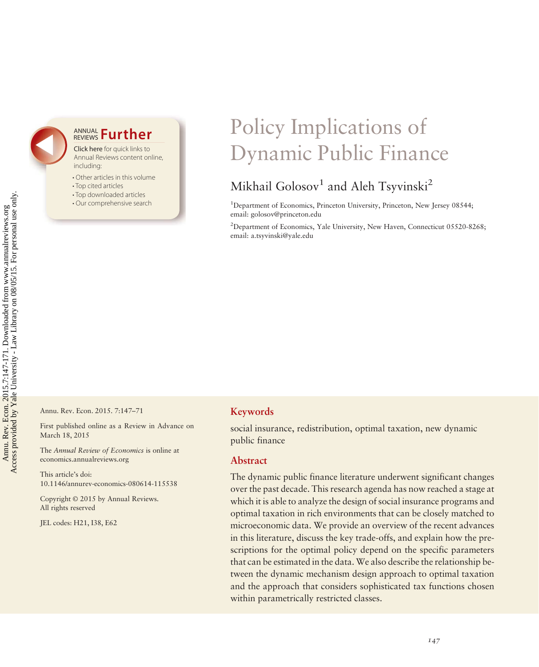## **ANNUAL Further**

Click here for quick links to Annual Reviews content online, including:

- Other articles in this volume
- Top cited articles
- Top downloaded articles
- Our comprehensive search

# Policy Implications of Dynamic Public Finance

## Mikhail Golosov<sup>1</sup> and Aleh Tsyvinski<sup>2</sup>

<sup>1</sup>Department of Economics, Princeton University, Princeton, New Jersey 08544; email: [golosov@princeton.edu](mailto:golosov@princeton.edu)

<sup>2</sup>Department of Economics, Yale University, New Haven, Connecticut 05520-8268; email: [a.tsyvinski@yale.edu](mailto:a.tsyvinski@yale.edu)

Annu. Rev. Econ. 2015. 7:147–71

First published online as a Review in Advance on March 18, 2015

The Annual Review of Economics is online at <economics.annualreviews.org>

This article's doi: 10.1146/annurev-economics-080614-115538

Copyright © 2015 by Annual Reviews. All rights reserved

JEL codes: H21, I38, E62

#### Keywords

social insurance, redistribution, optimal taxation, new dynamic public finance

#### Abstract

The dynamic public finance literature underwent significant changes over the past decade. This research agenda has now reached a stage at which it is able to analyze the design of social insurance programs and optimal taxation in rich environments that can be closely matched to microeconomic data. We provide an overview of the recent advances in this literature, discuss the key trade-offs, and explain how the prescriptions for the optimal policy depend on the specific parameters that can be estimated in the data. We also describe the relationship between the dynamic mechanism design approach to optimal taxation and the approach that considers sophisticated tax functions chosen within parametrically restricted classes.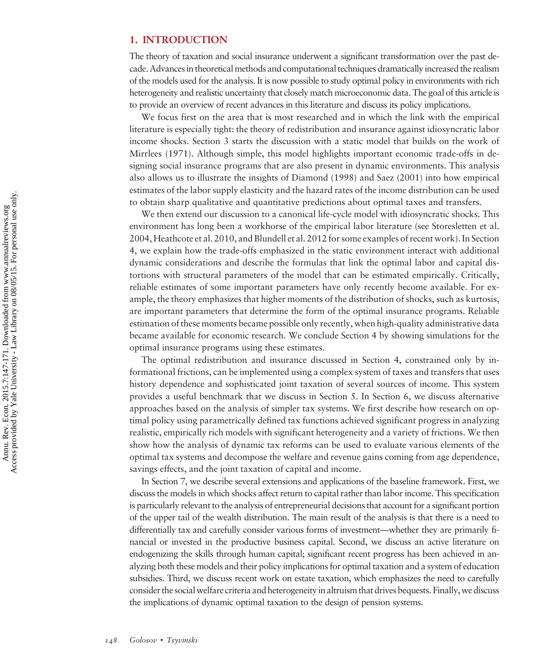#### 1. INTRODUCTION

The theory of taxation and social insurance underwent a significant transformation over the past decade. Advances in theoretical methods and computational techniques dramatically increased the realism of the models used for the analysis. It is now possible to study optimal policy in environments with rich heterogeneity and realistic uncertainty that closely match microeconomic data. The goal of this article is to provide an overview of recent advances in this literature and discuss its policy implications.

We focus first on the area that is most researched and in which the link with the empirical literature is especially tight: the theory of redistribution and insurance against idiosyncratic labor income shocks. Section 3 starts the discussion with a static model that builds on the work of Mirrlees (1971). Although simple, this model highlights important economic trade-offs in designing social insurance programs that are also present in dynamic environments. This analysis also allows us to illustrate the insights of Diamond (1998) and Saez (2001) into how empirical estimates of the labor supply elasticity and the hazard rates of the income distribution can be used to obtain sharp qualitative and quantitative predictions about optimal taxes and transfers.

We then extend our discussion to a canonical life-cycle model with idiosyncratic shocks. This environment has long been a workhorse of the empirical labor literature (see Storesletten et al. 2004, Heathcote et al. 2010, and Blundell et al. 2012 for some examples of recent work). In Section 4, we explain how the trade-offs emphasized in the static environment interact with additional dynamic considerations and describe the formulas that link the optimal labor and capital distortions with structural parameters of the model that can be estimated empirically. Critically, reliable estimates of some important parameters have only recently become available. For example, the theory emphasizes that higher moments of the distribution of shocks, such as kurtosis, are important parameters that determine the form of the optimal insurance programs. Reliable estimation of these moments became possible only recently, when high-quality administrative data became available for economic research. We conclude Section 4 by showing simulations for the optimal insurance programs using these estimates.

The optimal redistribution and insurance discussed in Section 4, constrained only by informational frictions, can be implemented using a complex system of taxes and transfers that uses history dependence and sophisticated joint taxation of several sources of income. This system provides a useful benchmark that we discuss in Section 5. In Section 6, we discuss alternative approaches based on the analysis of simpler tax systems. We first describe how research on optimal policy using parametrically defined tax functions achieved significant progress in analyzing realistic, empirically rich models with significant heterogeneity and a variety of frictions. We then show how the analysis of dynamic tax reforms can be used to evaluate various elements of the optimal tax systems and decompose the welfare and revenue gains coming from age dependence, savings effects, and the joint taxation of capital and income.

In Section 7, we describe several extensions and applications of the baseline framework. First, we discuss the models in which shocks affect return to capital rather than labor income. This specification is particularly relevant to the analysis of entrepreneurial decisions that account for a significant portion of the upper tail of the wealth distribution. The main result of the analysis is that there is a need to differentially tax and carefully consider various forms of investment—whether they are primarily financial or invested in the productive business capital. Second, we discuss an active literature on endogenizing the skills through human capital; significant recent progress has been achieved in analyzing both these models and their policy implications for optimal taxation and a system of education subsidies. Third, we discuss recent work on estate taxation, which emphasizes the need to carefully consider the social welfare criteria and heterogeneity in altruism that drives bequests. Finally, we discuss the implications of dynamic optimal taxation to the design of pension systems.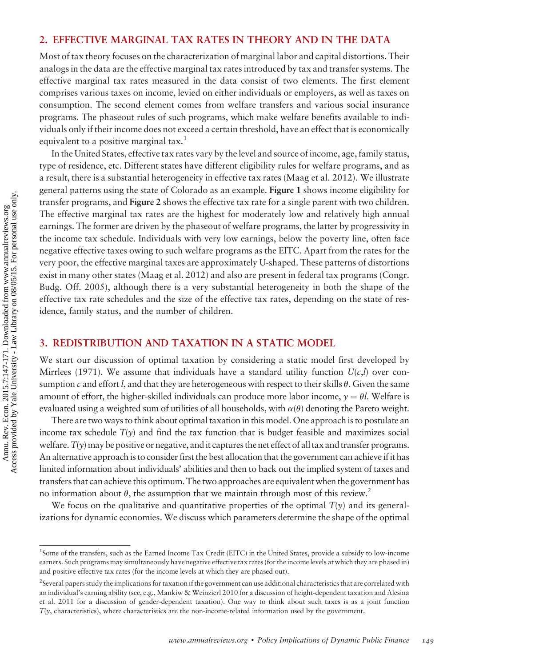#### 2. EFFECTIVE MARGINAL TAX RATES IN THEORY AND IN THE DATA

Most of tax theory focuses on the characterization of marginal labor and capital distortions. Their analogs in the data are the effective marginal tax rates introduced by tax and transfer systems. The effective marginal tax rates measured in the data consist of two elements. The first element comprises various taxes on income, levied on either individuals or employers, as well as taxes on consumption. The second element comes from welfare transfers and various social insurance programs. The phaseout rules of such programs, which make welfare benefits available to individuals only if their income does not exceed a certain threshold, have an effect that is economically equivalent to a positive marginal tax.<sup>1</sup>

In the United States, effective tax rates vary by the level and source of income, age, family status, type of residence, etc. Different states have different eligibility rules for welfare programs, and as a result, there is a substantial heterogeneity in effective tax rates (Maag et al. 2012). We illustrate general patterns using the state of Colorado as an example. Figure 1 shows income eligibility for transfer programs, and Figure 2 shows the effective tax rate for a single parent with two children. The effective marginal tax rates are the highest for moderately low and relatively high annual earnings. The former are driven by the phaseout of welfare programs, the latter by progressivity in the income tax schedule. Individuals with very low earnings, below the poverty line, often face negative effective taxes owing to such welfare programs as the EITC. Apart from the rates for the very poor, the effective marginal taxes are approximately U-shaped. These patterns of distortions exist in many other states (Maag et al. 2012) and also are present in federal tax programs (Congr. Budg. Off. 2005), although there is a very substantial heterogeneity in both the shape of the effective tax rate schedules and the size of the effective tax rates, depending on the state of residence, family status, and the number of children.

#### 3. REDISTRIBUTION AND TAXATION IN A STATIC MODEL

We start our discussion of optimal taxation by considering a static model first developed by Mirrlees (1971). We assume that individuals have a standard utility function  $U(c, l)$  over consumption c and effort l, and that they are heterogeneous with respect to their skills  $\theta$ . Given the same amount of effort, the higher-skilled individuals can produce more labor income,  $y = \theta l$ . Welfare is evaluated using a weighted sum of utilities of all households, with  $\alpha(\theta)$  denoting the Pareto weight.

There are two ways to think about optimal taxation in this model. One approach is to postulate an income tax schedule  $T(y)$  and find the tax function that is budget feasible and maximizes social welfare.  $T(y)$  may be positive or negative, and it captures the net effect of all tax and transfer programs. An alternative approach is to consider first the best allocation that the government can achieve if it has limited information about individuals' abilities and then to back out the implied system of taxes and transfers that can achieve this optimum. The two approaches are equivalent when the government has no information about  $\theta$ , the assumption that we maintain through most of this review.<sup>2</sup>

We focus on the qualitative and quantitative properties of the optimal  $T(y)$  and its generalizations for dynamic economies. We discuss which parameters determine the shape of the optimal

<sup>1</sup> Some of the transfers, such as the Earned Income Tax Credit (EITC) in the United States, provide a subsidy to low-income earners. Such programs may simultaneously have negative effective tax rates (for the income levels at which they are phased in) and positive effective tax rates (for the income levels at which they are phased out).

<sup>&</sup>lt;sup>2</sup>Several papers study the implications for taxation if the government can use additional characteristics that are correlated with an individual's earning ability (see, e.g., Mankiw & Weinzierl 2010 for a discussion of height-dependent taxation and Alesina et al. 2011 for a discussion of gender-dependent taxation). One way to think about such taxes is as a joint function  $T(y,$  characteristics), where characteristics are the non-income-related information used by the government.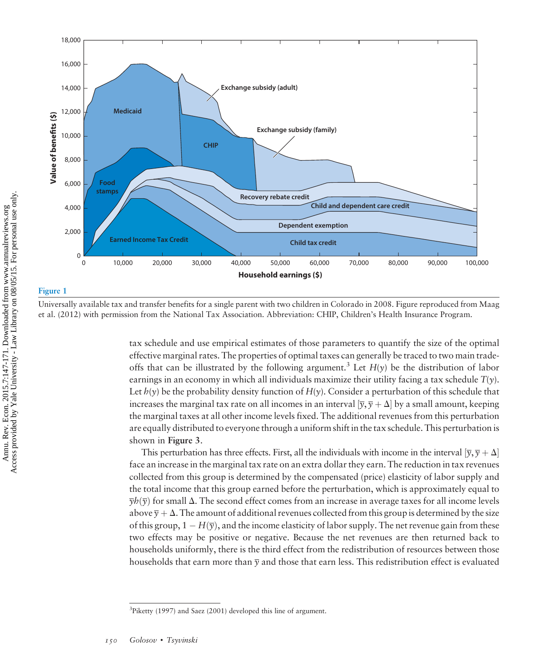

Universally available tax and transfer benefits for a single parent with two children in Colorado in 2008. Figure reproduced from Maag et al. (2012) with permission from the National Tax Association. Abbreviation: CHIP, Children's Health Insurance Program.

tax schedule and use empirical estimates of those parameters to quantify the size of the optimal effective marginal rates. The properties of optimal taxes can generally be traced to two main tradeoffs that can be illustrated by the following argument.<sup>3</sup> Let  $H(y)$  be the distribution of labor earnings in an economy in which all individuals maximize their utility facing a tax schedule  $T(y)$ . Let  $h(y)$  be the probability density function of  $H(y)$ . Consider a perturbation of this schedule that increases the marginal tax rate on all incomes in an interval  $[\bar{v}, \bar{v} + \Delta]$  by a small amount, keeping the marginal taxes at all other income levels fixed. The additional revenues from this perturbation are equally distributed to everyone through a uniform shift in the tax schedule. This perturbation is shown in Figure 3.

This perturbation has three effects. First, all the individuals with income in the interval  $[\bar{v}, \bar{v} + \Delta]$ face an increase in the marginal tax rate on an extra dollar they earn. The reduction in tax revenues collected from this group is determined by the compensated (price) elasticity of labor supply and the total income that this group earned before the perturbation, which is approximately equal to  $\overline{\psi}b(\overline{\gamma})$  for small  $\Delta$ . The second effect comes from an increase in average taxes for all income levels above  $\overline{v} + \Delta$ . The amount of additional revenues collected from this group is determined by the size of this group,  $1 - H(\bar{v})$ , and the income elasticity of labor supply. The net revenue gain from these two effects may be positive or negative. Because the net revenues are then returned back to households uniformly, there is the third effect from the redistribution of resources between those households that earn more than  $\bar{y}$  and those that earn less. This redistribution effect is evaluated

<sup>&</sup>lt;sup>3</sup>Piketty (1997) and Saez (2001) developed this line of argument.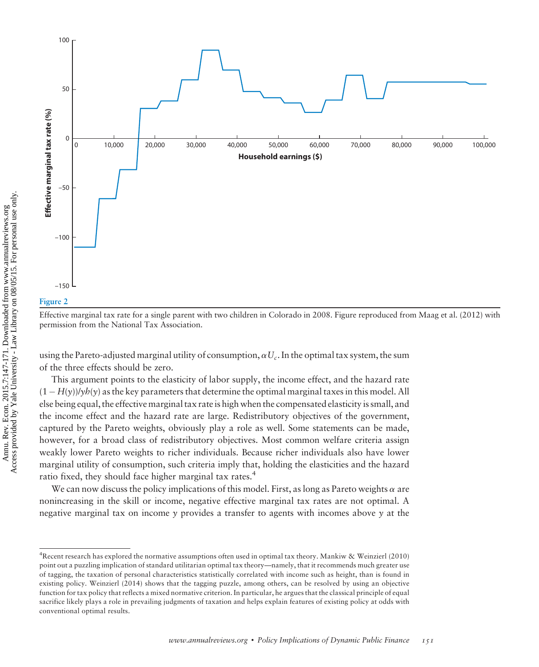

#### Figure 2

Effective marginal tax rate for a single parent with two children in Colorado in 2008. Figure reproduced from Maag et al. (2012) with permission from the National Tax Association.

using the Pareto-adjusted marginal utility of consumption,  $\alpha U_c$ . In the optimal tax system, the sum of the three effects should be zero.

This argument points to the elasticity of labor supply, the income effect, and the hazard rate  $(1 - H(y))/yh(y)$  as the key parameters that determine the optimal marginal taxes in this model. All else being equal, the effective marginal tax rate is high when the compensated elasticity is small, and the income effect and the hazard rate are large. Redistributory objectives of the government, captured by the Pareto weights, obviously play a role as well. Some statements can be made, however, for a broad class of redistributory objectives. Most common welfare criteria assign weakly lower Pareto weights to richer individuals. Because richer individuals also have lower marginal utility of consumption, such criteria imply that, holding the elasticities and the hazard ratio fixed, they should face higher marginal tax rates.<sup>4</sup>

We can now discuss the policy implications of this model. First, as long as Pareto weights  $\alpha$  are nonincreasing in the skill or income, negative effective marginal tax rates are not optimal. A

<sup>4</sup> Recent research has explored the normative assumptions often used in optimal tax theory. Mankiw & Weinzierl (2010) point out a puzzling implication of standard utilitarian optimal tax theory—namely, that it recommends much greater use of tagging, the taxation of personal characteristics statistically correlated with income such as height, than is found in existing policy. Weinzierl (2014) shows that the tagging puzzle, among others, can be resolved by using an objective function for tax policy that reflects a mixed normative criterion. In particular, he argues that the classical principle of equal sacrifice likely plays a role in prevailing judgments of taxation and helps explain features of existing policy at odds with conventional optimal results.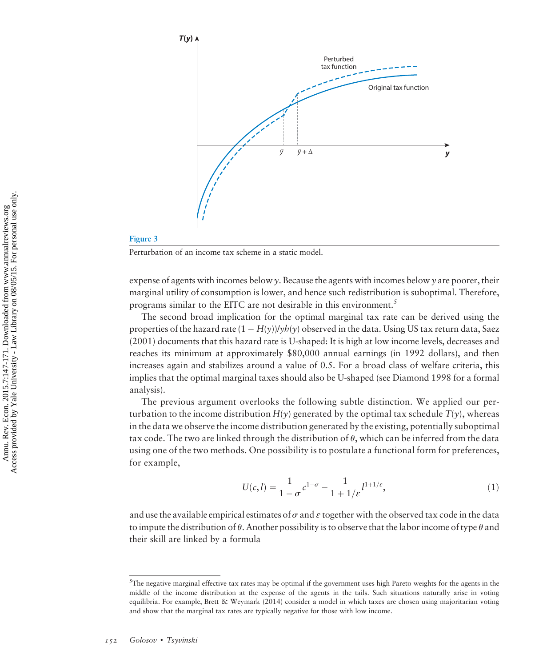

#### Figure 3

Perturbation of an income tax scheme in a static model.

expense of agents with incomes below  $y$ . Because the agents with incomes below  $y$  are poorer, their marginal utility of consumption is lower, and hence such redistribution is suboptimal. Therefore, programs similar to the EITC are not desirable in this environment.<sup>5</sup>

The second broad implication for the optimal marginal tax rate can be derived using the properties of the hazard rate  $(1 - H(y))/yh(y)$  observed in the data. Using US tax return data, Saez (2001) documents that this hazard rate is U-shaped: It is high at low income levels, decreases and reaches its minimum at approximately \$80,000 annual earnings (in 1992 dollars), and then increases again and stabilizes around a value of 0.5. For a broad class of welfare criteria, this implies that the optimal marginal taxes should also be U-shaped (see Diamond 1998 for a formal analysis).

The previous argument overlooks the following subtle distinction. We applied our perturbation to the income distribution  $H(\gamma)$  generated by the optimal tax schedule  $T(\gamma)$ , whereas in the data we observe the income distribution generated by the existing, potentially suboptimal tax code. The two are linked through the distribution of  $\theta$ , which can be inferred from the data using one of the two methods. One possibility is to postulate a functional form for preferences, for example,

$$
U(c, l) = \frac{1}{1 - \sigma} c^{1 - \sigma} - \frac{1}{1 + 1/\varepsilon} l^{1 + 1/\varepsilon},
$$
\n(1)

and use the available empirical estimates of  $\sigma$  and  $\varepsilon$  together with the observed tax code in the data to impute the distribution of  $\theta$ . Another possibility is to observe that the labor income of type  $\theta$  and their skill are linked by a formula

 ${}^{5}$ The negative marginal effective tax rates may be optimal if the government uses high Pareto weights for the agents in the middle of the income distribution at the expense of the agents in the tails. Such situations naturally arise in voting equilibria. For example, Brett & Weymark (2014) consider a model in which taxes are chosen using majoritarian voting and show that the marginal tax rates are typically negative for those with low income.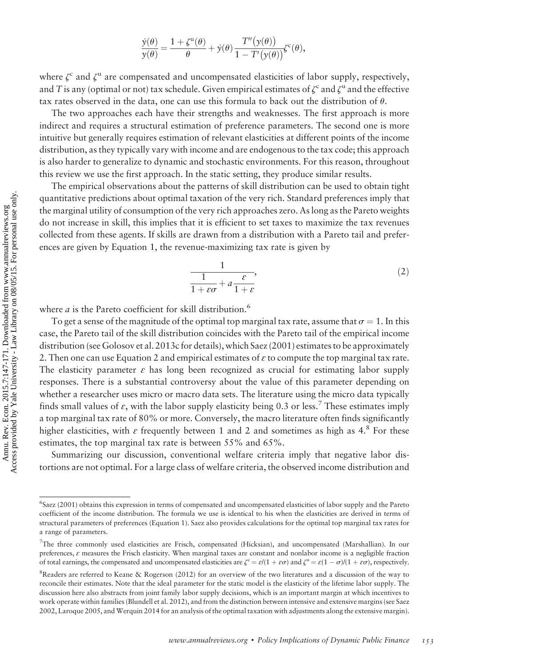$$
\frac{\dot{y}(\theta)}{y(\theta)} = \frac{1 + \zeta^{\mathrm{u}}(\theta)}{\theta} + \dot{y}(\theta) \frac{T''(y(\theta))}{1 - T'(y(\theta))} \zeta^{\mathrm{c}}(\theta),
$$

where  $\zeta^c$  and  $\zeta^u$  are compensated and uncompensated elasticities of labor supply, respectively, and T is any (optimal or not) tax schedule. Given empirical estimates of  $\mathcal{E}^c$  and  $\mathcal{E}^u$  and the effective tax rates observed in the data, one can use this formula to back out the distribution of  $\theta$ .

The two approaches each have their strengths and weaknesses. The first approach is more indirect and requires a structural estimation of preference parameters. The second one is more intuitive but generally requires estimation of relevant elasticities at different points of the income distribution, as they typically vary with income and are endogenous to the tax code; this approach is also harder to generalize to dynamic and stochastic environments. For this reason, throughout this review we use the first approach. In the static setting, they produce similar results.

The empirical observations about the patterns of skill distribution can be used to obtain tight quantitative predictions about optimal taxation of the very rich. Standard preferences imply that the marginal utility of consumption of the very rich approaches zero. As long as the Pareto weights do not increase in skill, this implies that it is efficient to set taxes to maximize the tax revenues collected from these agents. If skills are drawn from a distribution with a Pareto tail and preferences are given by Equation 1, the revenue-maximizing tax rate is given by

$$
\frac{1}{1+\varepsilon\sigma} + a\frac{\varepsilon}{1+\varepsilon},\tag{2}
$$

where  $a$  is the Pareto coefficient for skill distribution.<sup>6</sup>

To get a sense of the magnitude of the optimal top marginal tax rate, assume that  $\sigma = 1$ . In this case, the Pareto tail of the skill distribution coincides with the Pareto tail of the empirical income distribution (see Golosov et al. 2013c for details), which Saez (2001) estimates to be approximately 2. Then one can use Equation 2 and empirical estimates of  $\varepsilon$  to compute the top marginal tax rate. The elasticity parameter  $\varepsilon$  has long been recognized as crucial for estimating labor supply responses. There is a substantial controversy about the value of this parameter depending on whether a researcher uses micro or macro data sets. The literature using the micro data typically finds small values of  $\varepsilon$ , with the labor supply elasticity being 0.3 or less.<sup>7</sup> These estimates imply a top marginal tax rate of 80% or more. Conversely, the macro literature often finds significantly higher elasticities, with  $\varepsilon$  frequently between 1 and 2 and sometimes as high as 4.<sup>8</sup> For these estimates, the top marginal tax rate is between 55% and 65%.

Summarizing our discussion, conventional welfare criteria imply that negative labor distortions are not optimal. For a large class of welfare criteria, the observed income distribution and

<sup>6</sup> Saez (2001) obtains this expression in terms of compensated and uncompensated elasticities of labor supply and the Pareto coefficient of the income distribution. The formula we use is identical to his when the elasticities are derived in terms of structural parameters of preferences (Equation 1). Saez also provides calculations for the optimal top marginal tax rates for a range of parameters.

<sup>7</sup> The three commonly used elasticities are Frisch, compensated (Hicksian), and uncompensated (Marshallian). In our preferences,  $\varepsilon$  measures the Frisch elasticity. When marginal taxes are constant and nonlabor income is a negligible fraction of total earnings, the compensated and uncompensated elasticities are  $\zeta^c = \varepsilon/(1 + \varepsilon \sigma)$  and  $\zeta^u = \varepsilon(1 - \sigma)/(1 + \varepsilon \sigma)$ , respectively.

<sup>&</sup>lt;sup>8</sup>Readers are referred to Keane & Rogerson (2012) for an overview of the two literatures and a discussion of the way to reconcile their estimates. Note that the ideal parameter for the static model is the elasticity of the lifetime labor supply. The discussion here also abstracts from joint family labor supply decisions, which is an important margin at which incentives to work operate within families (Blundell et al. 2012), and from the distinction between intensive and extensive margins (see Saez 2002, Laroque 2005, and Werquin 2014 for an analysis of the optimal taxation with adjustments along the extensive margin).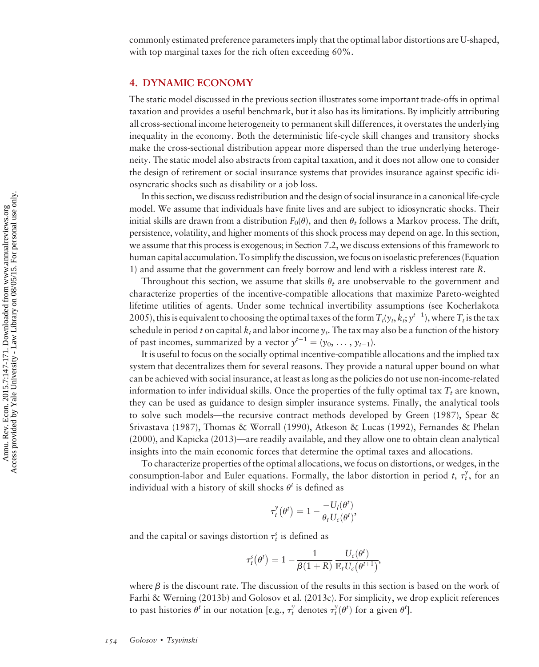commonly estimated preference parameters imply that the optimal labor distortions are U-shaped, with top marginal taxes for the rich often exceeding 60%.

#### 4. DYNAMIC ECONOMY

The static model discussed in the previous section illustrates some important trade-offs in optimal taxation and provides a useful benchmark, but it also has its limitations. By implicitly attributing all cross-sectional income heterogeneity to permanent skill differences, it overstates the underlying inequality in the economy. Both the deterministic life-cycle skill changes and transitory shocks make the cross-sectional distribution appear more dispersed than the true underlying heterogeneity. The static model also abstracts from capital taxation, and it does not allow one to consider the design of retirement or social insurance systems that provides insurance against specific idiosyncratic shocks such as disability or a job loss.

In this section, we discuss redistribution and the design of social insurance in a canonical life-cycle model. We assume that individuals have finite lives and are subject to idiosyncratic shocks. Their initial skills are drawn from a distribution  $F_0(\theta)$ , and then  $\theta_t$  follows a Markov process. The drift, persistence, volatility, and higher moments of this shock process may depend on age. In this section, we assume that this process is exogenous; in Section 7.2, we discuss extensions of this framework to human capital accumulation. To simplify the discussion, we focus on isoelastic preferences (Equation 1) and assume that the government can freely borrow and lend with a riskless interest rate R.

Throughout this section, we assume that skills  $\theta_t$  are unobservable to the government and characterize properties of the incentive-compatible allocations that maximize Pareto-weighted lifetime utilities of agents. Under some technical invertibility assumptions (see Kocherlakota 2005), this is equivalent to choosing the optimal taxes of the form  $T_t(y_t, k_t; y^{t-1})$ , where  $T_t$  is the tax schedule in period t on capital  $k_t$  and labor income  $y_t$ . The tax may also be a function of the history of past incomes, summarized by a vector  $y^{t-1} = (y_0, \ldots, y_{t-1}).$ 

It is useful to focus on the socially optimal incentive-compatible allocations and the implied tax system that decentralizes them for several reasons. They provide a natural upper bound on what can be achieved with social insurance, at least as long as the policies do not use non-income-related information to infer individual skills. Once the properties of the fully optimal tax  $T_t$  are known, they can be used as guidance to design simpler insurance systems. Finally, the analytical tools to solve such models—the recursive contract methods developed by Green (1987), Spear & Srivastava (1987), Thomas & Worrall (1990), Atkeson & Lucas (1992), Fernandes & Phelan (2000), and Kapicka (2013)—are readily available, and they allow one to obtain clean analytical insights into the main economic forces that determine the optimal taxes and allocations.

To characterize properties of the optimal allocations, we focus on distortions, or wedges, in the consumption-labor and Euler equations. Formally, the labor distortion in period  $t$ ,  $\tau_t^y$ , for an individual with a history of skill shocks  $\theta^t$  is defined as

$$
\tau_t^y(\theta^t) = 1 - \frac{-U_l(\theta^t)}{\theta_t U_c(\theta^t)},
$$

and the capital or savings distortion  $\tau_t^s$  is defined as

$$
\tau^s_t\big(\theta^t\big)=1-\frac{1}{\beta(1+R)}\frac{U_c(\theta^t)}{\mathbb{E}_tU_c\big(\theta^{t+1}\big)},
$$

where  $\beta$  is the discount rate. The discussion of the results in this section is based on the work of Farhi & Werning (2013b) and Golosov et al. (2013c). For simplicity, we drop explicit references to past histories  $\theta^t$  in our notation [e.g.,  $\tau_t^y$  denotes  $\tau_t^y(\theta^t)$  for a given  $\theta^t$ ].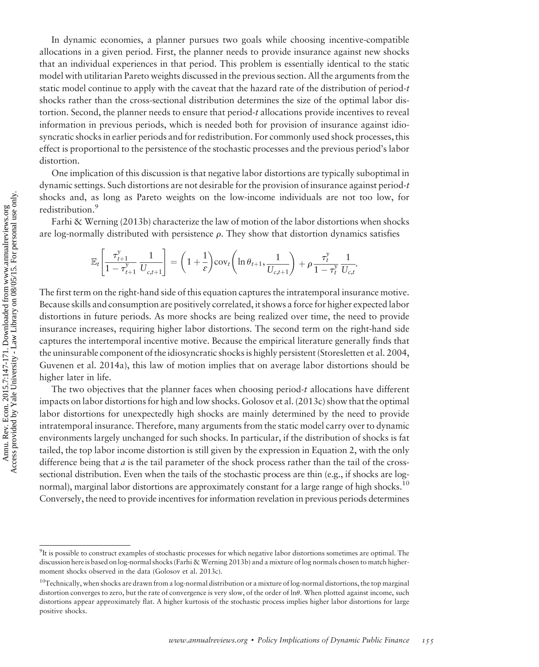In dynamic economies, a planner pursues two goals while choosing incentive-compatible allocations in a given period. First, the planner needs to provide insurance against new shocks that an individual experiences in that period. This problem is essentially identical to the static model with utilitarian Pareto weights discussed in the previous section. All the arguments from the static model continue to apply with the caveat that the hazard rate of the distribution of period-t shocks rather than the cross-sectional distribution determines the size of the optimal labor distortion. Second, the planner needs to ensure that period-t allocations provide incentives to reveal information in previous periods, which is needed both for provision of insurance against idiosyncratic shocks in earlier periods and for redistribution. For commonly used shock processes, this effect is proportional to the persistence of the stochastic processes and the previous period's labor distortion.

One implication of this discussion is that negative labor distortions are typically suboptimal in dynamic settings. Such distortions are not desirable for the provision of insurance against period-t shocks and, as long as Pareto weights on the low-income individuals are not too low, for redistribution.<sup>9</sup>

Farhi & Werning (2013b) characterize the law of motion of the labor distortions when shocks are log-normally distributed with persistence  $\rho$ . They show that distortion dynamics satisfies

$$
\mathbb{E}_{t}\!\left[\frac{\tau_{t+1}^{\gamma}}{1-\tau_{t+1}^{\gamma}}\frac{1}{U_{c,t+1}}\right] = \left(1+\frac{1}{\varepsilon}\right)\!\text{cov}_{t}\!\left(\ln \theta_{t+1}, \frac{1}{U_{c,t+1}}\right) + \rho \frac{\tau_{t}^{\gamma}}{1-\tau_{t}^{\gamma}}\frac{1}{U_{c,t}}.
$$

The first term on the right-hand side of this equation captures the intratemporal insurance motive. Because skills and consumption are positively correlated, it shows a force for higher expected labor distortions in future periods. As more shocks are being realized over time, the need to provide insurance increases, requiring higher labor distortions. The second term on the right-hand side captures the intertemporal incentive motive. Because the empirical literature generally finds that the uninsurable component of the idiosyncratic shocks is highly persistent (Storesletten et al. 2004, Guvenen et al. 2014a), this law of motion implies that on average labor distortions should be higher later in life.

The two objectives that the planner faces when choosing period-t allocations have different impacts on labor distortions for high and low shocks. Golosov et al. (2013c) show that the optimal labor distortions for unexpectedly high shocks are mainly determined by the need to provide intratemporal insurance. Therefore, many arguments from the static model carry over to dynamic environments largely unchanged for such shocks. In particular, if the distribution of shocks is fat tailed, the top labor income distortion is still given by the expression in Equation 2, with the only difference being that  $a$  is the tail parameter of the shock process rather than the tail of the crosssectional distribution. Even when the tails of the stochastic process are thin (e.g., if shocks are lognormal), marginal labor distortions are approximately constant for a large range of high shocks.<sup>10</sup> Conversely, the need to provide incentives for information revelation in previous periods determines

<sup>&</sup>lt;sup>9</sup>It is possible to construct examples of stochastic processes for which negative labor distortions sometimes are optimal. The discussion here is based on log-normal shocks (Farhi & Werning 2013b) and a mixture of log normals chosen to match highermoment shocks observed in the data (Golosov et al. 2013c).

 $10$ Technically, when shocks are drawn from a log-normal distribution or a mixture of log-normal distortions, the top marginal distortion converges to zero, but the rate of convergence is very slow, of the order of ln $\theta$ . When plotted against income, such distortions appear approximately flat. A higher kurtosis of the stochastic process implies higher labor distortions for large positive shocks.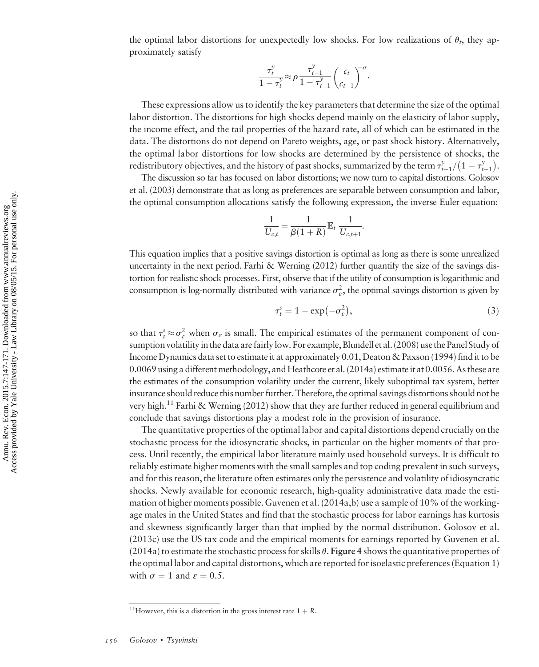the optimal labor distortions for unexpectedly low shocks. For low realizations of  $\theta_t$ , they approximately satisfy

$$
\frac{\tau_t^y}{1-\tau_t^y} \approx \rho \frac{\tau_{t-1}^y}{1-\tau_{t-1}^y} \left(\frac{c_t}{c_{t-1}}\right)^{-\sigma}.
$$

These expressions allow us to identify the key parameters that determine the size of the optimal labor distortion. The distortions for high shocks depend mainly on the elasticity of labor supply, the income effect, and the tail properties of the hazard rate, all of which can be estimated in the data. The distortions do not depend on Pareto weights, age, or past shock history. Alternatively, the optimal labor distortions for low shocks are determined by the persistence of shocks, the redistributory objectives, and the history of past shocks, summarized by the term  $\tau_{t-1}^y/(1-\tau_{t-1}^y)$ .

The discussion so far has focused on labor distortions; we now turn to capital distortions. Golosov et al. (2003) demonstrate that as long as preferences are separable between consumption and labor, the optimal consumption allocations satisfy the following expression, the inverse Euler equation:

$$
\frac{1}{U_{c,t}} = \frac{1}{\beta(1+R)} \mathbb{E}_t \frac{1}{U_{c,t+1}}
$$

This equation implies that a positive savings distortion is optimal as long as there is some unrealized uncertainty in the next period. Farhi & Werning (2012) further quantify the size of the savings distortion for realistic shock processes. First, observe that if the utility of consumption is logarithmic and consumption is log-normally distributed with variance  $\sigma_{\varepsilon}^2$ , the optimal savings distortion is given by

$$
\tau_t^s = 1 - \exp(-\sigma_\varepsilon^2),\tag{3}
$$

.

so that  $\tau_i^s \approx \sigma_\varepsilon^2$  when  $\sigma_\varepsilon$  is small. The empirical estimates of the permanent component of consumption volatility in the data are fairlylow. For example, Blundell et al. (2008) use the Panel Study of Income Dynamics data set to estimate it at approximately 0.01, Deaton & Paxson (1994) find it to be 0.0069 using a different methodology, and Heathcote et al. (2014a) estimate it at 0.0056. As these are the estimates of the consumption volatility under the current, likely suboptimal tax system, better insurance should reduce this number further. Therefore, the optimal savings distortions should not be very high.<sup>11</sup> Farhi & Werning (2012) show that they are further reduced in general equilibrium and conclude that savings distortions play a modest role in the provision of insurance.

The quantitative properties of the optimal labor and capital distortions depend crucially on the stochastic process for the idiosyncratic shocks, in particular on the higher moments of that process. Until recently, the empirical labor literature mainly used household surveys. It is difficult to reliably estimate higher moments with the small samples and top coding prevalent in such surveys, and for this reason, the literature often estimates only the persistence and volatility of idiosyncratic shocks. Newly available for economic research, high-quality administrative data made the estimation of higher moments possible. Guvenen et al.  $(2014a,b)$  use a sample of 10% of the workingage males in the United States and find that the stochastic process for labor earnings has kurtosis and skewness significantly larger than that implied by the normal distribution. Golosov et al. (2013c) use the US tax code and the empirical moments for earnings reported by Guvenen et al. (2014a) to estimate the stochastic process for skills  $\theta$ . Figure 4 shows the quantitative properties of the optimal labor and capital distortions, which are reported for isoelastic preferences (Equation 1) with  $\sigma = 1$  and  $\varepsilon = 0.5$ .

<sup>&</sup>lt;sup>11</sup>However, this is a distortion in the gross interest rate  $1 + R$ .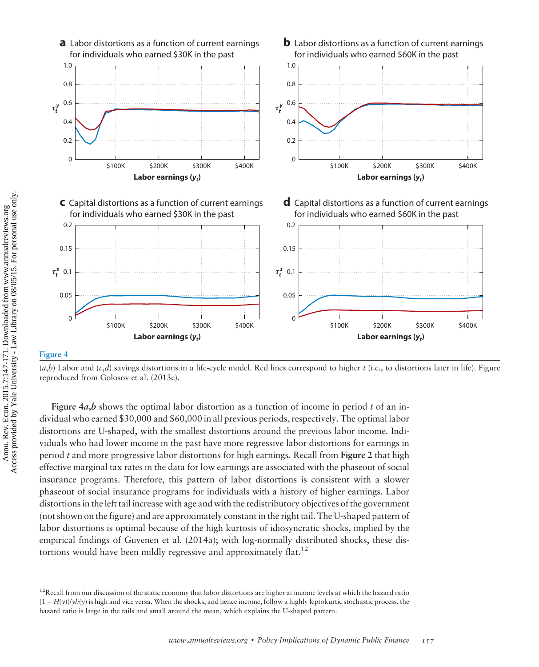

 $(a,b)$  Labor and  $(c,d)$  savings distortions in a life-cycle model. Red lines correspond to higher t (i.e., to distortions later in life). Figure reproduced from Golosov et al. (2013c).

Figure  $4a$ , b shows the optimal labor distortion as a function of income in period t of an individual who earned \$30,000 and \$60,000 in all previous periods, respectively. The optimal labor distortions are U-shaped, with the smallest distortions around the previous labor income. Individuals who had lower income in the past have more regressive labor distortions for earnings in period  $t$  and more progressive labor distortions for high earnings. Recall from Figure 2 that high effective marginal tax rates in the data for low earnings are associated with the phaseout of social insurance programs. Therefore, this pattern of labor distortions is consistent with a slower phaseout of social insurance programs for individuals with a history of higher earnings. Labor distortions in the left tail increase with age and with the redistributory objectives of the government (not shown on the figure) and are approximately constant in the right tail. The U-shaped pattern of labor distortions is optimal because of the high kurtosis of idiosyncratic shocks, implied by the empirical findings of Guvenen et al. (2014a); with log-normally distributed shocks, these distortions would have been mildly regressive and approximately flat.<sup>12</sup>

 $12$ Recall from our discussion of the static economy that labor distortions are higher at income levels at which the hazard ratio  $(1 - H(y))/\psi(y)$  is high and vice versa. When the shocks, and hence income, follow a highly leptokurtic stochastic process, the hazard ratio is large in the tails and small around the mean, which explains the U-shaped pattern.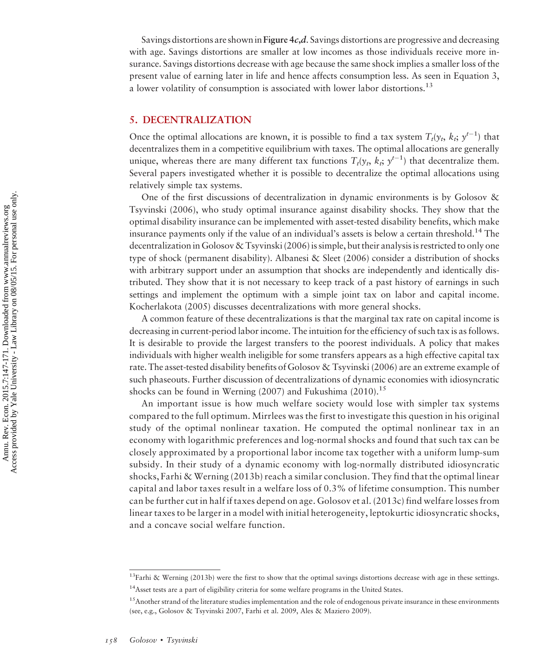Savings distortions are shown in Figure  $4c,d$ . Savings distortions are progressive and decreasing with age. Savings distortions are smaller at low incomes as those individuals receive more insurance. Savings distortions decrease with age because the same shock implies a smaller loss of the present value of earning later in life and hence affects consumption less. As seen in Equation 3, a lower volatility of consumption is associated with lower labor distortions.<sup>13</sup>

#### 5. DECENTRALIZATION

Once the optimal allocations are known, it is possible to find a tax system  $T_t(y_t, k_t; y^{t-1})$  that decentralizes them in a competitive equilibrium with taxes. The optimal allocations are generally unique, whereas there are many different tax functions  $T_t(y_t, k_t; y^{t-1})$  that decentralize them. Several papers investigated whether it is possible to decentralize the optimal allocations using relatively simple tax systems.

One of the first discussions of decentralization in dynamic environments is by Golosov & Tsyvinski (2006), who study optimal insurance against disability shocks. They show that the optimal disability insurance can be implemented with asset-tested disability benefits, which make insurance payments only if the value of an individual's assets is below a certain threshold.<sup>14</sup> The decentralization in Golosov& Tsyvinski (2006) is simple, but their analysis is restricted to only one type of shock (permanent disability). Albanesi & Sleet (2006) consider a distribution of shocks with arbitrary support under an assumption that shocks are independently and identically distributed. They show that it is not necessary to keep track of a past history of earnings in such settings and implement the optimum with a simple joint tax on labor and capital income. Kocherlakota (2005) discusses decentralizations with more general shocks.

A common feature of these decentralizations is that the marginal tax rate on capital income is decreasing in current-period labor income. The intuition for the efficiency of such tax is as follows. It is desirable to provide the largest transfers to the poorest individuals. A policy that makes individuals with higher wealth ineligible for some transfers appears as a high effective capital tax rate. The asset-tested disability benefits of Golosov & Tsyvinski (2006) are an extreme example of such phaseouts. Further discussion of decentralizations of dynamic economies with idiosyncratic shocks can be found in Werning (2007) and Fukushima (2010).<sup>15</sup>

An important issue is how much welfare society would lose with simpler tax systems compared to the full optimum. Mirrlees was the first to investigate this question in his original study of the optimal nonlinear taxation. He computed the optimal nonlinear tax in an economy with logarithmic preferences and log-normal shocks and found that such tax can be closely approximated by a proportional labor income tax together with a uniform lump-sum subsidy. In their study of a dynamic economy with log-normally distributed idiosyncratic shocks, Farhi & Werning (2013b) reach a similar conclusion. They find that the optimal linear capital and labor taxes result in a welfare loss of 0.3% of lifetime consumption. This number can be further cut in half if taxes depend on age. Golosov et al. (2013c) find welfare losses from linear taxes to be larger in a model with initial heterogeneity, leptokurtic idiosyncratic shocks, and a concave social welfare function.

<sup>&</sup>lt;sup>13</sup>Farhi & Werning (2013b) were the first to show that the optimal savings distortions decrease with age in these settings. <sup>14</sup> Asset tests are a part of eligibility criteria for some welfare programs in the United States.

<sup>&</sup>lt;sup>15</sup> Another strand of the literature studies implementation and the role of endogenous private insurance in these environments (see, e.g., Golosov & Tsyvinski 2007, Farhi et al. 2009, Ales & Maziero 2009).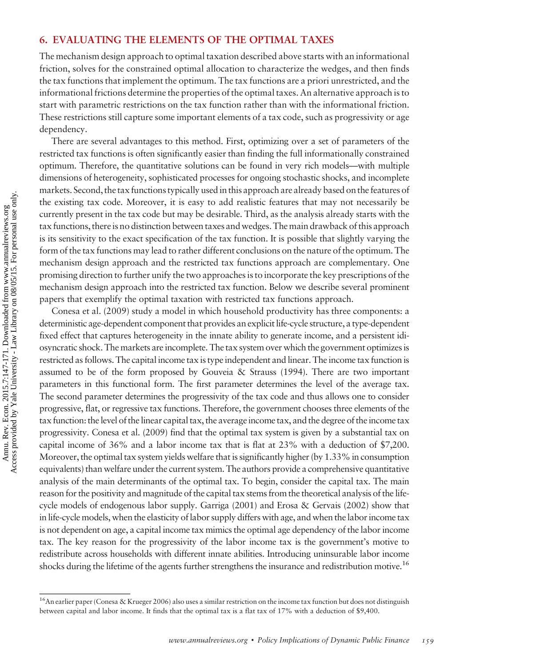#### 6. EVALUATING THE ELEMENTS OF THE OPTIMAL TAXES

The mechanism design approach to optimal taxation described above starts with an informational friction, solves for the constrained optimal allocation to characterize the wedges, and then finds the tax functions that implement the optimum. The tax functions are a priori unrestricted, and the informational frictions determine the properties of the optimal taxes. An alternative approach is to start with parametric restrictions on the tax function rather than with the informational friction. These restrictions still capture some important elements of a tax code, such as progressivity or age dependency.

There are several advantages to this method. First, optimizing over a set of parameters of the restricted tax functions is often significantly easier than finding the full informationally constrained optimum. Therefore, the quantitative solutions can be found in very rich models—with multiple dimensions of heterogeneity, sophisticated processes for ongoing stochastic shocks, and incomplete markets. Second, the tax functions typically used in this approach are already based on the features of the existing tax code. Moreover, it is easy to add realistic features that may not necessarily be currently present in the tax code but may be desirable. Third, as the analysis already starts with the tax functions, there is no distinction between taxes and wedges. The main drawback of this approach is its sensitivity to the exact specification of the tax function. It is possible that slightly varying the form of the tax functions may lead to rather different conclusions on the nature of the optimum. The mechanism design approach and the restricted tax functions approach are complementary. One promising direction to further unify the two approaches is to incorporate the key prescriptions of the mechanism design approach into the restricted tax function. Below we describe several prominent papers that exemplify the optimal taxation with restricted tax functions approach.

Conesa et al. (2009) study a model in which household productivity has three components: a deterministic age-dependent component that provides an explicit life-cycle structure, a type-dependent fixed effect that captures heterogeneity in the innate ability to generate income, and a persistent idiosyncratic shock. The markets are incomplete. The tax system over which the government optimizes is restricted as follows. The capital income tax is type independent and linear. The income tax function is assumed to be of the form proposed by Gouveia & Strauss (1994). There are two important parameters in this functional form. The first parameter determines the level of the average tax. The second parameter determines the progressivity of the tax code and thus allows one to consider progressive, flat, or regressive tax functions. Therefore, the government chooses three elements of the tax function: the level of the linear capital tax, the average income tax, and the degree of the income tax progressivity. Conesa et al. (2009) find that the optimal tax system is given by a substantial tax on capital income of 36% and a labor income tax that is flat at 23% with a deduction of \$7,200. Moreover, the optimal tax system yields welfare that is significantly higher (by 1.33% in consumption equivalents) than welfare under the current system. The authors provide a comprehensive quantitative analysis of the main determinants of the optimal tax. To begin, consider the capital tax. The main reason for the positivity and magnitude of the capital tax stems from the theoretical analysis of the lifecycle models of endogenous labor supply. Garriga (2001) and Erosa & Gervais (2002) show that in life-cycle models, when the elasticity of labor supply differs with age, and when the labor income tax is not dependent on age, a capital income tax mimics the optimal age dependency of the labor income tax. The key reason for the progressivity of the labor income tax is the government's motive to redistribute across households with different innate abilities. Introducing uninsurable labor income shocks during the lifetime of the agents further strengthens the insurance and redistribution motive.<sup>16</sup>

<sup>&</sup>lt;sup>16</sup>An earlier paper (Conesa & Krueger 2006) also uses a similar restriction on the income tax function but does not distinguish between capital and labor income. It finds that the optimal tax is a flat tax of 17% with a deduction of \$9,400.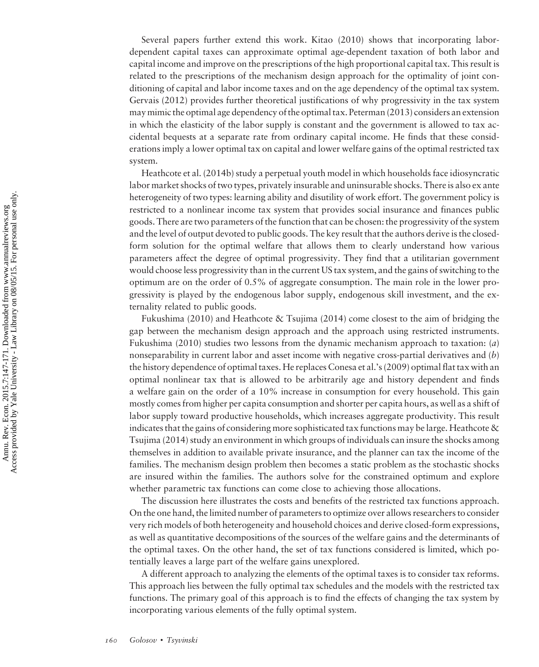Several papers further extend this work. Kitao (2010) shows that incorporating labordependent capital taxes can approximate optimal age-dependent taxation of both labor and capital income and improve on the prescriptions of the high proportional capital tax. This result is related to the prescriptions of the mechanism design approach for the optimality of joint conditioning of capital and labor income taxes and on the age dependency of the optimal tax system. Gervais (2012) provides further theoretical justifications of why progressivity in the tax system may mimic the optimal age dependency of the optimal tax. Peterman (2013) considers an extension in which the elasticity of the labor supply is constant and the government is allowed to tax accidental bequests at a separate rate from ordinary capital income. He finds that these considerations imply a lower optimal tax on capital and lower welfare gains of the optimal restricted tax system.

Heathcote et al. (2014b) study a perpetual youth model in which households face idiosyncratic labor market shocks of two types, privately insurable and uninsurable shocks. There is also ex ante heterogeneity of two types: learning ability and disutility of work effort. The government policy is restricted to a nonlinear income tax system that provides social insurance and finances public goods. There are two parameters of the function that can be chosen: the progressivity of the system and the level of output devoted to public goods. The key result that the authors derive is the closedform solution for the optimal welfare that allows them to clearly understand how various parameters affect the degree of optimal progressivity. They find that a utilitarian government would choose less progressivity than in the current US tax system, and the gains of switching to the optimum are on the order of 0.5% of aggregate consumption. The main role in the lower progressivity is played by the endogenous labor supply, endogenous skill investment, and the externality related to public goods.

Fukushima (2010) and Heathcote & Tsujima (2014) come closest to the aim of bridging the gap between the mechanism design approach and the approach using restricted instruments. Fukushima (2010) studies two lessons from the dynamic mechanism approach to taxation: (*a*) nonseparability in current labor and asset income with negative cross-partial derivatives and  $(b)$ the history dependence of optimal taxes. He replaces Conesa et al.'s (2009) optimal flat tax with an optimal nonlinear tax that is allowed to be arbitrarily age and history dependent and finds a welfare gain on the order of a 10% increase in consumption for every household. This gain mostly comes from higher per capita consumption and shorter per capita hours, as well as a shift of labor supply toward productive households, which increases aggregate productivity. This result indicates that the gains of considering more sophisticated tax functions may be large. Heathcote  $\&$ Tsujima (2014) study an environment in which groups of individuals can insure the shocks among themselves in addition to available private insurance, and the planner can tax the income of the families. The mechanism design problem then becomes a static problem as the stochastic shocks are insured within the families. The authors solve for the constrained optimum and explore whether parametric tax functions can come close to achieving those allocations.

The discussion here illustrates the costs and benefits of the restricted tax functions approach. On the one hand, the limited number of parameters to optimize over allows researchers to consider very rich models of both heterogeneity and household choices and derive closed-form expressions, as well as quantitative decompositions of the sources of the welfare gains and the determinants of the optimal taxes. On the other hand, the set of tax functions considered is limited, which potentially leaves a large part of the welfare gains unexplored.

A different approach to analyzing the elements of the optimal taxes is to consider tax reforms. This approach lies between the fully optimal tax schedules and the models with the restricted tax functions. The primary goal of this approach is to find the effects of changing the tax system by incorporating various elements of the fully optimal system.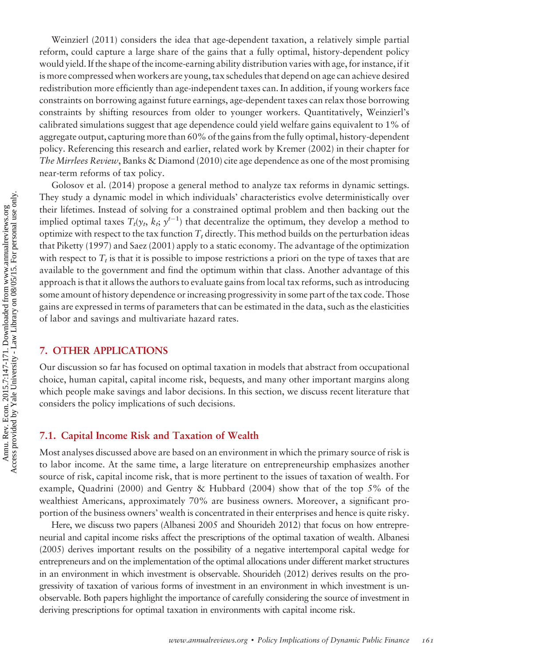Weinzierl (2011) considers the idea that age-dependent taxation, a relatively simple partial reform, could capture a large share of the gains that a fully optimal, history-dependent policy would yield. If the shape of the income-earning ability distribution varies with age, for instance, if it is more compressed when workers are young, tax schedules that depend on age can achieve desired redistribution more efficiently than age-independent taxes can. In addition, if young workers face constraints on borrowing against future earnings, age-dependent taxes can relax those borrowing constraints by shifting resources from older to younger workers. Quantitatively, Weinzierl's calibrated simulations suggest that age dependence could yield welfare gains equivalent to 1% of aggregate output, capturing more than 60% of the gains from the fully optimal, history-dependent policy. Referencing this research and earlier, related work by Kremer (2002) in their chapter for The Mirrlees Review, Banks & Diamond (2010) cite age dependence as one of the most promising near-term reforms of tax policy.

Golosov et al. (2014) propose a general method to analyze tax reforms in dynamic settings. They study a dynamic model in which individuals' characteristics evolve deterministically over their lifetimes. Instead of solving for a constrained optimal problem and then backing out the implied optimal taxes  $T_t(y_t, k_t; y^{t-1})$  that decentralize the optimum, they develop a method to optimize with respect to the tax function  $T_t$  directly. This method builds on the perturbation ideas that Piketty (1997) and Saez (2001) apply to a static economy. The advantage of the optimization with respect to  $T_t$  is that it is possible to impose restrictions a priori on the type of taxes that are available to the government and find the optimum within that class. Another advantage of this approach is that it allows the authors to evaluate gains from local tax reforms, such as introducing some amount of history dependence or increasing progressivity in some part of the tax code. Those gains are expressed in terms of parameters that can be estimated in the data, such as the elasticities of labor and savings and multivariate hazard rates.

#### 7. OTHER APPLICATIONS

Our discussion so far has focused on optimal taxation in models that abstract from occupational choice, human capital, capital income risk, bequests, and many other important margins along which people make savings and labor decisions. In this section, we discuss recent literature that considers the policy implications of such decisions.

#### 7.1. Capital Income Risk and Taxation of Wealth

Most analyses discussed above are based on an environment in which the primary source of risk is to labor income. At the same time, a large literature on entrepreneurship emphasizes another source of risk, capital income risk, that is more pertinent to the issues of taxation of wealth. For example, Quadrini (2000) and Gentry & Hubbard (2004) show that of the top 5% of the wealthiest Americans, approximately 70% are business owners. Moreover, a significant proportion of the business owners' wealth is concentrated in their enterprises and hence is quite risky.

Here, we discuss two papers (Albanesi 2005 and Shourideh 2012) that focus on how entrepreneurial and capital income risks affect the prescriptions of the optimal taxation of wealth. Albanesi (2005) derives important results on the possibility of a negative intertemporal capital wedge for entrepreneurs and on the implementation of the optimal allocations under different market structures in an environment in which investment is observable. Shourideh (2012) derives results on the progressivity of taxation of various forms of investment in an environment in which investment is unobservable. Both papers highlight the importance of carefully considering the source of investment in deriving prescriptions for optimal taxation in environments with capital income risk.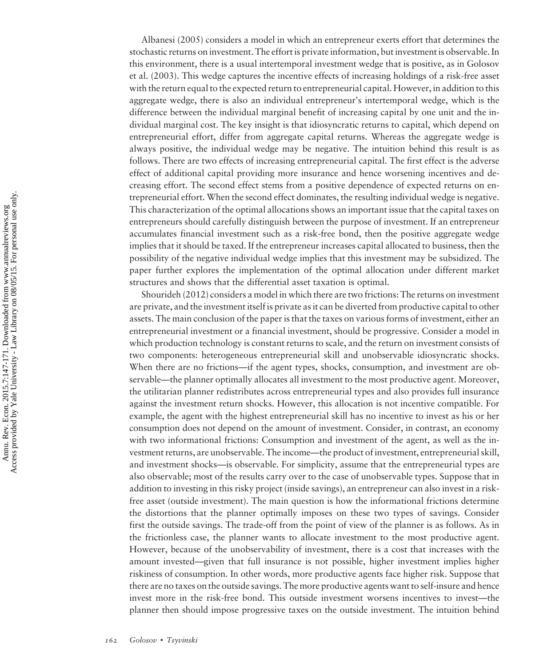Albanesi (2005) considers a model in which an entrepreneur exerts effort that determines the stochastic returns on investment. The effort is private information, but investment is observable. In this environment, there is a usual intertemporal investment wedge that is positive, as in Golosov et al. (2003). This wedge captures the incentive effects of increasing holdings of a risk-free asset with the return equal to the expected return to entrepreneurial capital. However, in addition to this aggregate wedge, there is also an individual entrepreneur's intertemporal wedge, which is the difference between the individual marginal benefit of increasing capital by one unit and the individual marginal cost. The key insight is that idiosyncratic returns to capital, which depend on entrepreneurial effort, differ from aggregate capital returns. Whereas the aggregate wedge is always positive, the individual wedge may be negative. The intuition behind this result is as follows. There are two effects of increasing entrepreneurial capital. The first effect is the adverse effect of additional capital providing more insurance and hence worsening incentives and decreasing effort. The second effect stems from a positive dependence of expected returns on entrepreneurial effort. When the second effect dominates, the resulting individual wedge is negative. This characterization of the optimal allocations shows an important issue that the capital taxes on entrepreneurs should carefully distinguish between the purpose of investment. If an entrepreneur accumulates financial investment such as a risk-free bond, then the positive aggregate wedge implies that it should be taxed. If the entrepreneur increases capital allocated to business, then the possibility of the negative individual wedge implies that this investment may be subsidized. The paper further explores the implementation of the optimal allocation under different market structures and shows that the differential asset taxation is optimal.

Shourideh (2012) considers a model in which there are two frictions: The returns on investment are private, and the investment itself is private as it can be diverted from productive capital to other assets. The main conclusion of the paper is that the taxes on various forms of investment, either an entrepreneurial investment or a financial investment, should be progressive. Consider a model in which production technology is constant returns to scale, and the return on investment consists of two components: heterogeneous entrepreneurial skill and unobservable idiosyncratic shocks. When there are no frictions—if the agent types, shocks, consumption, and investment are observable—the planner optimally allocates all investment to the most productive agent. Moreover, the utilitarian planner redistributes across entrepreneurial types and also provides full insurance against the investment return shocks. However, this allocation is not incentive compatible. For example, the agent with the highest entrepreneurial skill has no incentive to invest as his or her consumption does not depend on the amount of investment. Consider, in contrast, an economy with two informational frictions: Consumption and investment of the agent, as well as the investment returns, are unobservable. The income—the product of investment, entrepreneurial skill, and investment shocks—is observable. For simplicity, assume that the entrepreneurial types are also observable; most of the results carry over to the case of unobservable types. Suppose that in addition to investing in this risky project (inside savings), an entrepreneur can also invest in a riskfree asset (outside investment). The main question is how the informational frictions determine the distortions that the planner optimally imposes on these two types of savings. Consider first the outside savings. The trade-off from the point of view of the planner is as follows. As in the frictionless case, the planner wants to allocate investment to the most productive agent. However, because of the unobservability of investment, there is a cost that increases with the amount invested—given that full insurance is not possible, higher investment implies higher riskiness of consumption. In other words, more productive agents face higher risk. Suppose that there are no taxes on the outside savings. The more productive agents want to self-insure and hence invest more in the risk-free bond. This outside investment worsens incentives to invest—the planner then should impose progressive taxes on the outside investment. The intuition behind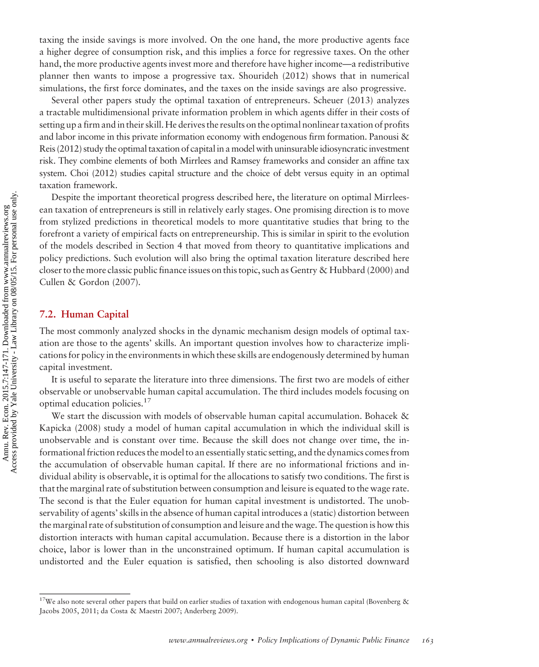taxing the inside savings is more involved. On the one hand, the more productive agents face a higher degree of consumption risk, and this implies a force for regressive taxes. On the other hand, the more productive agents invest more and therefore have higher income—a redistributive planner then wants to impose a progressive tax. Shourideh (2012) shows that in numerical simulations, the first force dominates, and the taxes on the inside savings are also progressive.

Several other papers study the optimal taxation of entrepreneurs. Scheuer (2013) analyzes a tractable multidimensional private information problem in which agents differ in their costs of setting up a firm and in their skill. He derives the results on the optimal nonlinear taxation of profits and labor income in this private information economy with endogenous firm formation. Panousi & Reis (2012) study the optimal taxation of capital in a model with uninsurable idiosyncratic investment risk. They combine elements of both Mirrlees and Ramsey frameworks and consider an affine tax system. Choi (2012) studies capital structure and the choice of debt versus equity in an optimal taxation framework.

Despite the important theoretical progress described here, the literature on optimal Mirrleesean taxation of entrepreneurs is still in relatively early stages. One promising direction is to move from stylized predictions in theoretical models to more quantitative studies that bring to the forefront a variety of empirical facts on entrepreneurship. This is similar in spirit to the evolution of the models described in Section 4 that moved from theory to quantitative implications and policy predictions. Such evolution will also bring the optimal taxation literature described here closer to the more classic public finance issues on this topic, such as Gentry & Hubbard (2000) and Cullen & Gordon (2007).

#### 7.2. Human Capital

The most commonly analyzed shocks in the dynamic mechanism design models of optimal taxation are those to the agents' skills. An important question involves how to characterize implications for policy in the environments in which these skills are endogenously determined by human capital investment.

It is useful to separate the literature into three dimensions. The first two are models of either observable or unobservable human capital accumulation. The third includes models focusing on optimal education policies.<sup>17</sup>

We start the discussion with models of observable human capital accumulation. Bohacek & Kapicka (2008) study a model of human capital accumulation in which the individual skill is unobservable and is constant over time. Because the skill does not change over time, the informational friction reduces the model to an essentially static setting, and the dynamics comes from the accumulation of observable human capital. If there are no informational frictions and individual ability is observable, it is optimal for the allocations to satisfy two conditions. The first is that the marginal rate of substitution between consumption and leisure is equated to the wage rate. The second is that the Euler equation for human capital investment is undistorted. The unobservability of agents'skills in the absence of human capital introduces a (static) distortion between the marginal rate of substitution of consumption and leisure and the wage. The question is how this distortion interacts with human capital accumulation. Because there is a distortion in the labor choice, labor is lower than in the unconstrained optimum. If human capital accumulation is undistorted and the Euler equation is satisfied, then schooling is also distorted downward

 $17$ We also note several other papers that build on earlier studies of taxation with endogenous human capital (Bovenberg  $\&$ Jacobs 2005, 2011; da Costa & Maestri 2007; Anderberg 2009).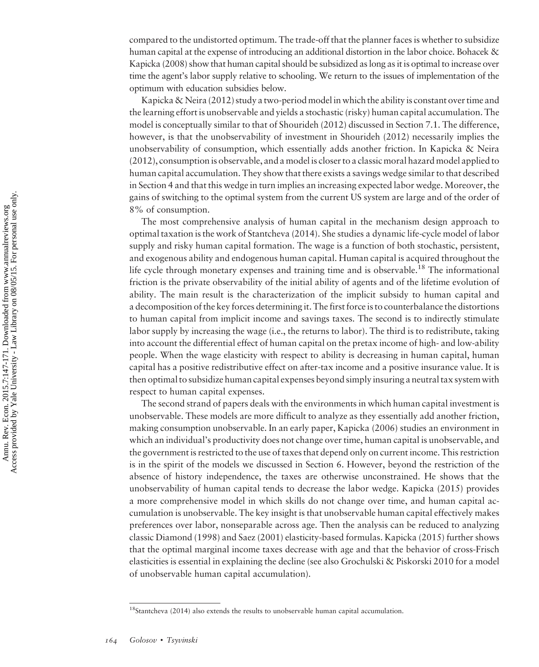compared to the undistorted optimum. The trade-off that the planner faces is whether to subsidize human capital at the expense of introducing an additional distortion in the labor choice. Bohacek & Kapicka (2008) show that human capital should be subsidized as long as it is optimal to increase over time the agent's labor supply relative to schooling. We return to the issues of implementation of the optimum with education subsidies below.

Kapicka & Neira (2012) study a two-period model in which the ability is constant over time and the learning effort is unobservable and yields a stochastic (risky) human capital accumulation. The model is conceptually similar to that of Shourideh (2012) discussed in Section 7.1. The difference, however, is that the unobservability of investment in Shourideh (2012) necessarily implies the unobservability of consumption, which essentially adds another friction. In Kapicka & Neira (2012), consumption is observable, and a model is closer to a classic moral hazard model applied to human capital accumulation. They show that there exists a savings wedge similar to that described in Section 4 and that this wedge in turn implies an increasing expected labor wedge. Moreover, the gains of switching to the optimal system from the current US system are large and of the order of 8% of consumption.

The most comprehensive analysis of human capital in the mechanism design approach to optimal taxation is the work of Stantcheva (2014). She studies a dynamic life-cycle model of labor supply and risky human capital formation. The wage is a function of both stochastic, persistent, and exogenous ability and endogenous human capital. Human capital is acquired throughout the life cycle through monetary expenses and training time and is observable.<sup>18</sup> The informational friction is the private observability of the initial ability of agents and of the lifetime evolution of ability. The main result is the characterization of the implicit subsidy to human capital and a decomposition of the key forces determining it. The first force is to counterbalance the distortions to human capital from implicit income and savings taxes. The second is to indirectly stimulate labor supply by increasing the wage (i.e., the returns to labor). The third is to redistribute, taking into account the differential effect of human capital on the pretax income of high- and low-ability people. When the wage elasticity with respect to ability is decreasing in human capital, human capital has a positive redistributive effect on after-tax income and a positive insurance value. It is then optimal to subsidize human capital expenses beyond simply insuring a neutral tax system with respect to human capital expenses.

The second strand of papers deals with the environments in which human capital investment is unobservable. These models are more difficult to analyze as they essentially add another friction, making consumption unobservable. In an early paper, Kapicka (2006) studies an environment in which an individual's productivity does not change over time, human capital is unobservable, and the government is restricted to the use of taxes that depend only on current income. This restriction is in the spirit of the models we discussed in Section 6. However, beyond the restriction of the absence of history independence, the taxes are otherwise unconstrained. He shows that the unobservability of human capital tends to decrease the labor wedge. Kapicka (2015) provides a more comprehensive model in which skills do not change over time, and human capital accumulation is unobservable. The key insight is that unobservable human capital effectively makes preferences over labor, nonseparable across age. Then the analysis can be reduced to analyzing classic Diamond (1998) and Saez (2001) elasticity-based formulas. Kapicka (2015) further shows that the optimal marginal income taxes decrease with age and that the behavior of cross-Frisch elasticities is essential in explaining the decline (see also Grochulski & Piskorski 2010 for a model of unobservable human capital accumulation).

<sup>&</sup>lt;sup>18</sup>Stantcheva (2014) also extends the results to unobservable human capital accumulation.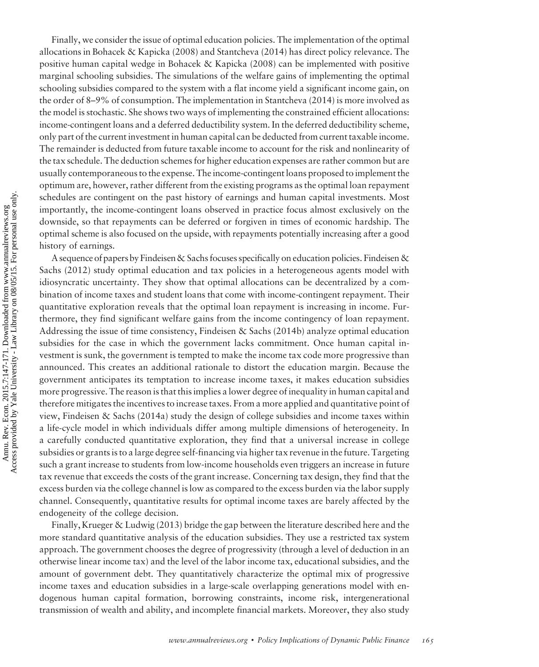Finally, we consider the issue of optimal education policies. The implementation of the optimal allocations in Bohacek & Kapicka (2008) and Stantcheva (2014) has direct policy relevance. The positive human capital wedge in Bohacek & Kapicka (2008) can be implemented with positive marginal schooling subsidies. The simulations of the welfare gains of implementing the optimal schooling subsidies compared to the system with a flat income yield a significant income gain, on the order of 8–9% of consumption. The implementation in Stantcheva (2014) is more involved as the model is stochastic. She shows two ways of implementing the constrained efficient allocations: income-contingent loans and a deferred deductibility system. In the deferred deductibility scheme, only part of the current investment in human capital can be deducted from current taxable income. The remainder is deducted from future taxable income to account for the risk and nonlinearity of the tax schedule. The deduction schemes for higher education expenses are rather common but are usually contemporaneous to the expense. The income-contingent loans proposed to implement the optimum are, however, rather different from the existing programs as the optimal loan repayment schedules are contingent on the past history of earnings and human capital investments. Most importantly, the income-contingent loans observed in practice focus almost exclusively on the downside, so that repayments can be deferred or forgiven in times of economic hardship. The optimal scheme is also focused on the upside, with repayments potentially increasing after a good history of earnings.

A sequence of papers by Findeisen & Sachs focuses specifically on education policies. Findeisen & Sachs (2012) study optimal education and tax policies in a heterogeneous agents model with idiosyncratic uncertainty. They show that optimal allocations can be decentralized by a combination of income taxes and student loans that come with income-contingent repayment. Their quantitative exploration reveals that the optimal loan repayment is increasing in income. Furthermore, they find significant welfare gains from the income contingency of loan repayment. Addressing the issue of time consistency, Findeisen & Sachs (2014b) analyze optimal education subsidies for the case in which the government lacks commitment. Once human capital investment is sunk, the government is tempted to make the income tax code more progressive than announced. This creates an additional rationale to distort the education margin. Because the government anticipates its temptation to increase income taxes, it makes education subsidies more progressive. The reason is that this implies a lower degree of inequality in human capital and therefore mitigates the incentives to increase taxes. From a more applied and quantitative point of view, Findeisen & Sachs (2014a) study the design of college subsidies and income taxes within a life-cycle model in which individuals differ among multiple dimensions of heterogeneity. In a carefully conducted quantitative exploration, they find that a universal increase in college subsidies or grants is to a large degree self-financing via higher tax revenue in the future. Targeting such a grant increase to students from low-income households even triggers an increase in future tax revenue that exceeds the costs of the grant increase. Concerning tax design, they find that the excess burden via the college channel is low as compared to the excess burden via the labor supply channel. Consequently, quantitative results for optimal income taxes are barely affected by the endogeneity of the college decision.

Finally, Krueger & Ludwig (2013) bridge the gap between the literature described here and the more standard quantitative analysis of the education subsidies. They use a restricted tax system approach. The government chooses the degree of progressivity (through a level of deduction in an otherwise linear income tax) and the level of the labor income tax, educational subsidies, and the amount of government debt. They quantitatively characterize the optimal mix of progressive income taxes and education subsidies in a large-scale overlapping generations model with endogenous human capital formation, borrowing constraints, income risk, intergenerational transmission of wealth and ability, and incomplete financial markets. Moreover, they also study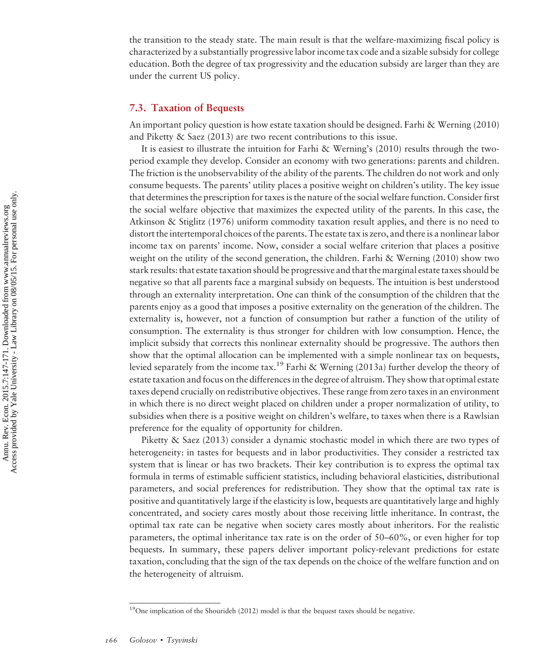the transition to the steady state. The main result is that the welfare-maximizing fiscal policy is characterized by a substantially progressive labor income tax code and a sizable subsidy for college education. Both the degree of tax progressivity and the education subsidy are larger than they are under the current US policy.

#### 7.3. Taxation of Bequests

An important policy question is how estate taxation should be designed. Farhi & Werning (2010) and Piketty & Saez (2013) are two recent contributions to this issue.

It is easiest to illustrate the intuition for Farhi & Werning's (2010) results through the twoperiod example they develop. Consider an economy with two generations: parents and children. The friction is the unobservability of the ability of the parents. The children do not work and only consume bequests. The parents' utility places a positive weight on children's utility. The key issue that determines the prescription for taxes is the nature of the social welfare function. Consider first the social welfare objective that maximizes the expected utility of the parents. In this case, the Atkinson & Stiglitz (1976) uniform commodity taxation result applies, and there is no need to distort the intertemporal choices of the parents. The estate tax is zero, and there is a nonlinear labor income tax on parents' income. Now, consider a social welfare criterion that places a positive weight on the utility of the second generation, the children. Farhi  $\&$  Werning (2010) show two stark results: that estate taxation should be progressive and that the marginal estate taxes should be negative so that all parents face a marginal subsidy on bequests. The intuition is best understood through an externality interpretation. One can think of the consumption of the children that the parents enjoy as a good that imposes a positive externality on the generation of the children. The externality is, however, not a function of consumption but rather a function of the utility of consumption. The externality is thus stronger for children with low consumption. Hence, the implicit subsidy that corrects this nonlinear externality should be progressive. The authors then show that the optimal allocation can be implemented with a simple nonlinear tax on bequests, levied separately from the income tax.<sup>19</sup> Farhi & Werning (2013a) further develop the theory of estate taxation and focus on the differences in the degree of altruism. They show that optimal estate taxes depend crucially on redistributive objectives. These range from zero taxes in an environment in which there is no direct weight placed on children under a proper normalization of utility, to subsidies when there is a positive weight on children's welfare, to taxes when there is a Rawlsian preference for the equality of opportunity for children.

Piketty & Saez (2013) consider a dynamic stochastic model in which there are two types of heterogeneity: in tastes for bequests and in labor productivities. They consider a restricted tax system that is linear or has two brackets. Their key contribution is to express the optimal tax formula in terms of estimable sufficient statistics, including behavioral elasticities, distributional parameters, and social preferences for redistribution. They show that the optimal tax rate is positive and quantitatively large if the elasticity is low, bequests are quantitatively large and highly concentrated, and society cares mostly about those receiving little inheritance. In contrast, the optimal tax rate can be negative when society cares mostly about inheritors. For the realistic parameters, the optimal inheritance tax rate is on the order of 50–60%, or even higher for top bequests. In summary, these papers deliver important policy-relevant predictions for estate taxation, concluding that the sign of the tax depends on the choice of the welfare function and on the heterogeneity of altruism.

 $19$ One implication of the Shourideh (2012) model is that the bequest taxes should be negative.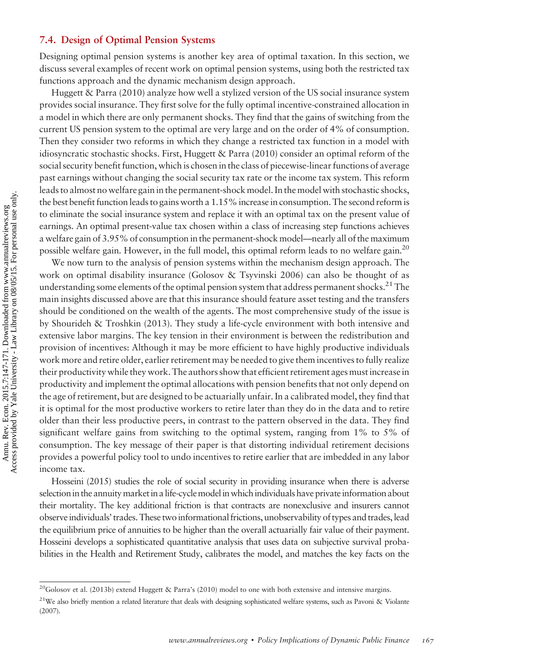#### 7.4. Design of Optimal Pension Systems

Designing optimal pension systems is another key area of optimal taxation. In this section, we discuss several examples of recent work on optimal pension systems, using both the restricted tax functions approach and the dynamic mechanism design approach.

Huggett & Parra (2010) analyze how well a stylized version of the US social insurance system provides social insurance. They first solve for the fully optimal incentive-constrained allocation in a model in which there are only permanent shocks. They find that the gains of switching from the current US pension system to the optimal are very large and on the order of 4% of consumption. Then they consider two reforms in which they change a restricted tax function in a model with idiosyncratic stochastic shocks. First, Huggett & Parra (2010) consider an optimal reform of the social security benefit function, which is chosen in the class of piecewise-linear functions of average past earnings without changing the social security tax rate or the income tax system. This reform leads to almost no welfare gain in the permanent-shock model. In the model with stochastic shocks, the best benefit function leads to gains worth a 1.15% increase in consumption. The second reform is to eliminate the social insurance system and replace it with an optimal tax on the present value of earnings. An optimal present-value tax chosen within a class of increasing step functions achieves a welfare gain of 3.95% of consumption in the permanent-shock model—nearly all of the maximum possible welfare gain. However, in the full model, this optimal reform leads to no welfare gain.<sup>20</sup>

We now turn to the analysis of pension systems within the mechanism design approach. The work on optimal disability insurance (Golosov & Tsyvinski 2006) can also be thought of as understanding some elements of the optimal pension system that address permanent shocks. $^{21}$  The main insights discussed above are that this insurance should feature asset testing and the transfers should be conditioned on the wealth of the agents. The most comprehensive study of the issue is by Shourideh & Troshkin (2013). They study a life-cycle environment with both intensive and extensive labor margins. The key tension in their environment is between the redistribution and provision of incentives: Although it may be more efficient to have highly productive individuals work more and retire older, earlier retirement may be needed to give them incentives to fully realize their productivity while they work. The authors show that efficient retirement ages must increase in productivity and implement the optimal allocations with pension benefits that not only depend on the age of retirement, but are designed to be actuarially unfair. In a calibrated model, they find that it is optimal for the most productive workers to retire later than they do in the data and to retire older than their less productive peers, in contrast to the pattern observed in the data. They find significant welfare gains from switching to the optimal system, ranging from 1% to 5% of consumption. The key message of their paper is that distorting individual retirement decisions provides a powerful policy tool to undo incentives to retire earlier that are imbedded in any labor income tax.

Hosseini (2015) studies the role of social security in providing insurance when there is adverse selection in the annuity market in a life-cycle model in which individuals have private information about their mortality. The key additional friction is that contracts are nonexclusive and insurers cannot observe individuals'trades. These two informational frictions, unobservability of types and trades, lead the equilibrium price of annuities to be higher than the overall actuarially fair value of their payment. Hosseini develops a sophisticated quantitative analysis that uses data on subjective survival probabilities in the Health and Retirement Study, calibrates the model, and matches the key facts on the

<sup>&</sup>lt;sup>20</sup>Golosov et al. (2013b) extend Huggett & Parra's (2010) model to one with both extensive and intensive margins.

 $21$ We also briefly mention a related literature that deals with designing sophisticated welfare systems, such as Pavoni & Violante (2007).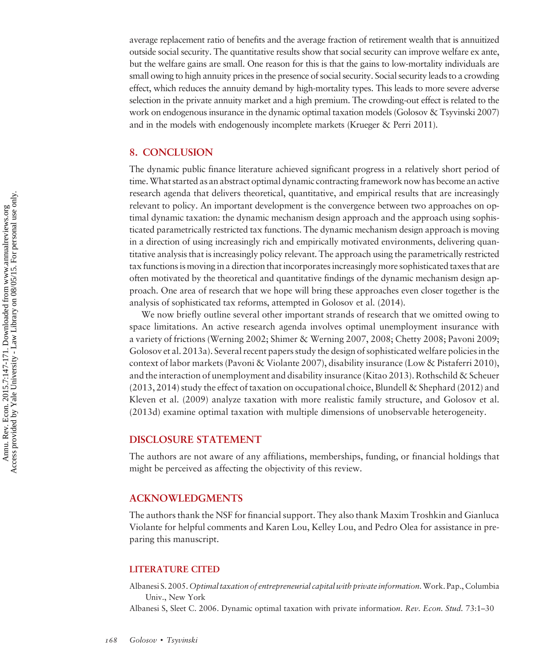average replacement ratio of benefits and the average fraction of retirement wealth that is annuitized outside social security. The quantitative results show that social security can improve welfare ex ante, but the welfare gains are small. One reason for this is that the gains to low-mortality individuals are small owing to high annuity prices in the presence of social security. Social security leads to a crowding effect, which reduces the annuity demand by high-mortality types. This leads to more severe adverse selection in the private annuity market and a high premium. The crowding-out effect is related to the work on endogenous insurance in the dynamic optimal taxation models (Golosov & Tsyvinski 2007) and in the models with endogenously incomplete markets (Krueger & Perri 2011).

#### 8. CONCLUSION

The dynamic public finance literature achieved significant progress in a relatively short period of time.What started as an abstract optimal dynamic contracting framework now has become an active research agenda that delivers theoretical, quantitative, and empirical results that are increasingly relevant to policy. An important development is the convergence between two approaches on optimal dynamic taxation: the dynamic mechanism design approach and the approach using sophisticated parametrically restricted tax functions. The dynamic mechanism design approach is moving in a direction of using increasingly rich and empirically motivated environments, delivering quantitative analysis that is increasingly policy relevant. The approach using the parametrically restricted tax functions is moving in a direction that incorporates increasingly more sophisticated taxes that are often motivated by the theoretical and quantitative findings of the dynamic mechanism design approach. One area of research that we hope will bring these approaches even closer together is the analysis of sophisticated tax reforms, attempted in Golosov et al. (2014).

We now briefly outline several other important strands of research that we omitted owing to space limitations. An active research agenda involves optimal unemployment insurance with a variety of frictions (Werning 2002; Shimer & Werning 2007, 2008; Chetty 2008; Pavoni 2009; Golosov et al. 2013a). Several recent papers study the design of sophisticated welfare policies in the context of labor markets (Pavoni & Violante 2007), disability insurance (Low & Pistaferri 2010), and the interaction of unemployment and disability insurance (Kitao 2013). Rothschild & Scheuer (2013, 2014) study the effect of taxation on occupational choice, Blundell & Shephard (2012) and Kleven et al. (2009) analyze taxation with more realistic family structure, and Golosov et al. (2013d) examine optimal taxation with multiple dimensions of unobservable heterogeneity.

#### DISCLOSURE STATEMENT

The authors are not aware of any affiliations, memberships, funding, or financial holdings that might be perceived as affecting the objectivity of this review.

#### ACKNOWLEDGMENTS

The authors thank the NSF for financial support. They also thank Maxim Troshkin and Gianluca Violante for helpful comments and Karen Lou, Kelley Lou, and Pedro Olea for assistance in preparing this manuscript.

#### LITERATURE CITED

Albanesi S. 2005. Optimal taxation of entrepreneurial capital with private information.Work. Pap., Columbia Univ., New York

Albanesi S, Sleet C. 2006. Dynamic optimal taxation with private information. Rev. Econ. Stud. 73:1–30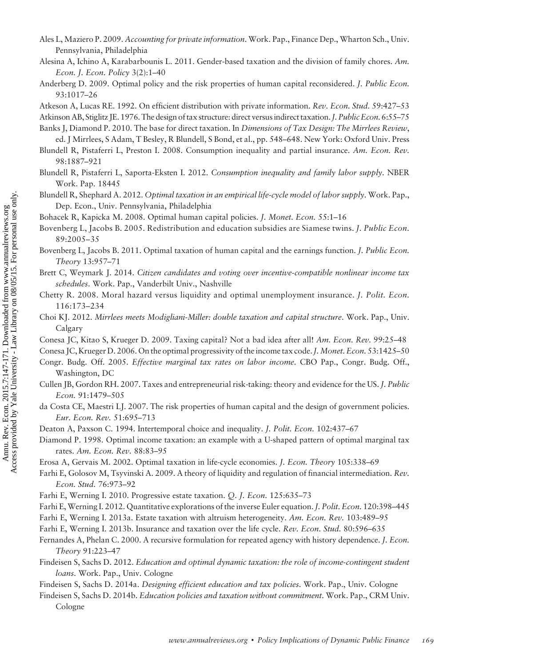- Ales L, Maziero P. 2009. Accounting for private information. Work. Pap., Finance Dep., Wharton Sch., Univ. Pennsylvania, Philadelphia
- Alesina A, Ichino A, Karabarbounis L. 2011. Gender-based taxation and the division of family chores. Am. Econ. J. Econ. Policy 3(2):1–40
- Anderberg D. 2009. Optimal policy and the risk properties of human capital reconsidered. J. Public Econ. 93:1017–26

Atkeson A, Lucas RE. 1992. On efficient distribution with private information. Rev. Econ. Stud. 59:427–53

Atkinson AB, Stiglitz JE. 1976. The design of tax structure: direct versus indirect taxation. *J. Public Econ.* 6:55–75

Banks J, Diamond P. 2010. The base for direct taxation. In Dimensions of Tax Design: The Mirrlees Review,

ed. J Mirrlees, S Adam, T Besley, R Blundell, S Bond, et al., pp. 548–648. New York: Oxford Univ. Press Blundell R, Pistaferri L, Preston I. 2008. Consumption inequality and partial insurance. Am. Econ. Rev. 98:1887–921

Blundell R, Pistaferri L, Saporta-Eksten I. 2012. Consumption inequality and family labor supply. NBER Work. Pap. 18445

Blundell R, Shephard A. 2012. Optimal taxation in an empirical life-cycle model of labor supply. Work. Pap., Dep. Econ., Univ. Pennsylvania, Philadelphia

Bohacek R, Kapicka M. 2008. Optimal human capital policies. J. Monet. Econ. 55:1–16

Bovenberg L, Jacobs B. 2005. Redistribution and education subsidies are Siamese twins. J. Public Econ. 89:2005–35

Bovenberg L, Jacobs B. 2011. Optimal taxation of human capital and the earnings function. J. Public Econ. Theory 13:957–71

Brett C, Weymark J. 2014. Citizen candidates and voting over incentive-compatible nonlinear income tax schedules. Work. Pap., Vanderbilt Univ., Nashville

Chetty R. 2008. Moral hazard versus liquidity and optimal unemployment insurance. J. Polit. Econ. 116:173–234

Choi KJ. 2012. Mirrlees meets Modigliani-Miller: double taxation and capital structure. Work. Pap., Univ. Calgary

Conesa JC, Kitao S, Krueger D. 2009. Taxing capital? Not a bad idea after all! Am. Econ. Rev. 99:25–48

Conesa JC, Krueger D. 2006. On the optimal progressivity of the income tax code. J. Monet. Econ. 53:1425–50

- Congr. Budg. Off. 2005. Effective marginal tax rates on labor income. CBO Pap., Congr. Budg. Off., Washington, DC
- Cullen JB, Gordon RH. 2007. Taxes and entrepreneurial risk-taking: theory and evidence for the US. J. Public Econ. 91:1479–505
- da Costa CE, Maestri LJ. 2007. The risk properties of human capital and the design of government policies. Eur. Econ. Rev. 51:695–713

Deaton A, Paxson C. 1994. Intertemporal choice and inequality. J. Polit. Econ. 102:437–67

Diamond P. 1998. Optimal income taxation: an example with a U-shaped pattern of optimal marginal tax rates. Am. Econ. Rev. 88:83–95

Erosa A, Gervais M. 2002. Optimal taxation in life-cycle economies. J. Econ. Theory 105:338–69

Farhi E, Golosov M, Tsyvinski A. 2009. A theory of liquidity and regulation of financial intermediation. Rev. Econ. Stud. 76:973–92

Farhi E, Werning I. 2010. Progressive estate taxation. Q. J. Econ. 125:635–73

Farhi E, Werning I. 2012. Quantitative explorations of the inverse Euler equation.J. Polit. Econ. 120:398–445

Farhi E, Werning I. 2013a. Estate taxation with altruism heterogeneity. Am. Econ. Rev. 103:489–95

Farhi E, Werning I. 2013b. Insurance and taxation over the life cycle. Rev. Econ. Stud. 80:596–635

Fernandes A, Phelan C. 2000. A recursive formulation for repeated agency with history dependence. J. Econ. Theory 91:223–47

Findeisen S, Sachs D. 2012. Education and optimal dynamic taxation: the role of income-contingent student loans. Work. Pap., Univ. Cologne

Findeisen S, Sachs D. 2014a. Designing efficient education and tax policies. Work. Pap., Univ. Cologne

Findeisen S, Sachs D. 2014b. Education policies and taxation without commitment. Work. Pap., CRM Univ. Cologne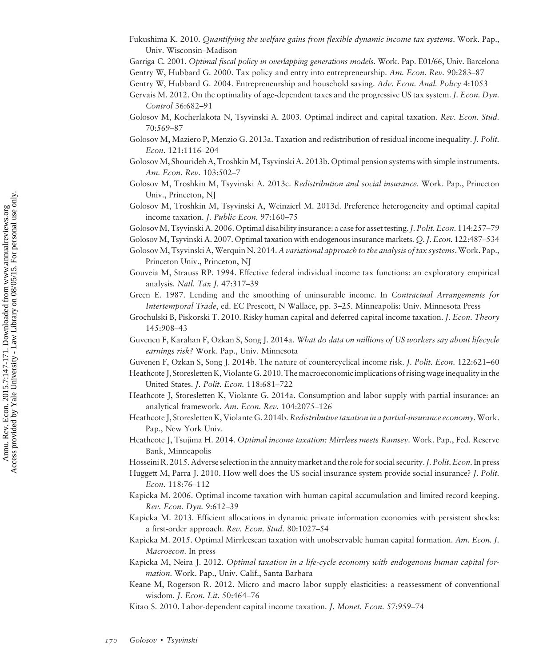Fukushima K. 2010. Quantifying the welfare gains from flexible dynamic income tax systems. Work. Pap., Univ. Wisconsin–Madison

Garriga C. 2001. Optimal fiscal policy in overlapping generations models. Work. Pap. E01/66, Univ. Barcelona

- Gentry W, Hubbard G. 2000. Tax policy and entry into entrepreneurship. Am. Econ. Rev. 90:283–87
- Gentry W, Hubbard G. 2004. Entrepreneurship and household saving. Adv. Econ. Anal. Policy 4:1053
- Gervais M. 2012. On the optimality of age-dependent taxes and the progressive US tax system. J. Econ. Dyn. Control 36:682–91
- Golosov M, Kocherlakota N, Tsyvinski A. 2003. Optimal indirect and capital taxation. Rev. Econ. Stud. 70:569–87
- Golosov M, Maziero P, Menzio G. 2013a. Taxation and redistribution of residual income inequality. J. Polit. Econ. 121:1116–204
- Golosov M, Shourideh A, Troshkin M, Tsyvinski A. 2013b. Optimal pension systems with simple instruments. Am. Econ. Rev. 103:502–7
- Golosov M, Troshkin M, Tsyvinski A. 2013c. Redistribution and social insurance. Work. Pap., Princeton Univ., Princeton, NJ
- Golosov M, Troshkin M, Tsyvinski A, Weinzierl M. 2013d. Preference heterogeneity and optimal capital income taxation. J. Public Econ. 97:160–75
- GolosovM, Tsyvinski A. 2006. Optimal disability insurance: a case for asset testing.J. Polit. Econ. 114:257–79
- Golosov M, Tsyvinski A. 2007. Optimal taxation with endogenous insurance markets. Q. J. Econ. 122:487–534
- Golosov M, Tsyvinski A, Werquin N. 2014. A variational approach to the analysis of tax systems. Work. Pap., Princeton Univ., Princeton, NJ
- Gouveia M, Strauss RP. 1994. Effective federal individual income tax functions: an exploratory empirical analysis. Natl. Tax J. 47:317–39
- Green E. 1987. Lending and the smoothing of uninsurable income. In Contractual Arrangements for Intertemporal Trade, ed. EC Prescott, N Wallace, pp. 3–25. Minneapolis: Univ. Minnesota Press
- Grochulski B, Piskorski T. 2010. Risky human capital and deferred capital income taxation. J. Econ. Theory 145:908–43
- Guvenen F, Karahan F, Ozkan S, Song J. 2014a. What do data on millions of US workers say about lifecycle earnings risk? Work. Pap., Univ. Minnesota
- Guvenen F, Ozkan S, Song J. 2014b. The nature of countercyclical income risk. J. Polit. Econ. 122:621–60
- Heathcote J, Storesletten K, Violante G. 2010. The macroeconomic implications of rising wage inequality in the United States. J. Polit. Econ. 118:681–722
- Heathcote J, Storesletten K, Violante G. 2014a. Consumption and labor supply with partial insurance: an analytical framework. Am. Econ. Rev. 104:2075–126
- Heathcote J, Storesletten K, Violante G. 2014b. Redistributive taxation in a partial-insurance economy. Work. Pap., New York Univ.
- Heathcote J, Tsujima H. 2014. Optimal income taxation: Mirrlees meets Ramsey. Work. Pap., Fed. Reserve Bank, Minneapolis
- Hosseini R. 2015. Adverse selection in the annuity market and the role for social security. *J. Polit. Econ.* In press
- Huggett M, Parra J. 2010. How well does the US social insurance system provide social insurance? J. Polit. Econ. 118:76–112
- Kapicka M. 2006. Optimal income taxation with human capital accumulation and limited record keeping. Rev. Econ. Dyn. 9:612–39
- Kapicka M. 2013. Efficient allocations in dynamic private information economies with persistent shocks: a first-order approach. Rev. Econ. Stud. 80:1027–54
- Kapicka M. 2015. Optimal Mirrleesean taxation with unobservable human capital formation. Am. Econ. J. Macroecon. In press
- Kapicka M, Neira J. 2012. Optimal taxation in a life-cycle economy with endogenous human capital formation. Work. Pap., Univ. Calif., Santa Barbara
- Keane M, Rogerson R. 2012. Micro and macro labor supply elasticities: a reassessment of conventional wisdom. J. Econ. Lit. 50:464–76

Kitao S. 2010. Labor-dependent capital income taxation. *J. Monet. Econ.* 57:959–74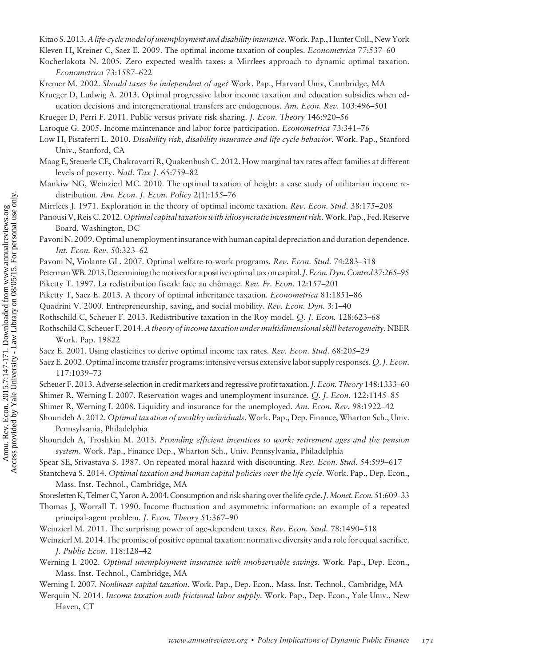Kitao S. 2013. A life-cycle model of unemployment and disability insurance.Work. Pap., Hunter Coll., New York

Kleven H, Kreiner C, Saez E. 2009. The optimal income taxation of couples. Econometrica 77:537–60

- Kocherlakota N. 2005. Zero expected wealth taxes: a Mirrlees approach to dynamic optimal taxation. Econometrica 73:1587–622
- Kremer M. 2002. Should taxes be independent of age? Work. Pap., Harvard Univ, Cambridge, MA
- Krueger D, Ludwig A. 2013. Optimal progressive labor income taxation and education subsidies when ed-
- ucation decisions and intergenerational transfers are endogenous. Am. Econ. Rev. 103:496–501
- Krueger D, Perri F. 2011. Public versus private risk sharing. J. Econ. Theory 146:920–56
- Laroque G. 2005. Income maintenance and labor force participation. Econometrica 73:341–76
- Low H, Pistaferri L. 2010. Disability risk, disability insurance and life cycle behavior. Work. Pap., Stanford Univ., Stanford, CA
- Maag E, Steuerle CE, Chakravarti R, Quakenbush C. 2012. How marginal tax rates affect families at different levels of poverty. Natl. Tax J. 65:759–82
- Mankiw NG, Weinzierl MC. 2010. The optimal taxation of height: a case study of utilitarian income redistribution. Am. Econ. J. Econ. Policy 2(1):155-76
- Mirrlees J. 1971. Exploration in the theory of optimal income taxation. Rev. Econ. Stud. 38:175–208
- Panousi V, Reis C. 2012. Optimal capital taxation with idiosyncratic investment risk. Work. Pap., Fed. Reserve Board, Washington, DC
- Pavoni N. 2009. Optimal unemployment insurance with human capital depreciation and duration dependence. Int. Econ. Rev. 50:323–62
- Pavoni N, Violante GL. 2007. Optimal welfare-to-work programs. Rev. Econ. Stud. 74:283–318
- Peterman WB. 2013. Determining the motives for a positive optimal tax on capital. *J. Econ. Dyn. Control* 37:265–95
- Piketty T. 1997. La redistribution fiscale face au chômage. Rev. Fr. Econ. 12:157–201
- Piketty T, Saez E. 2013. A theory of optimal inheritance taxation. Econometrica 81:1851–86
- Quadrini V. 2000. Entrepreneurship, saving, and social mobility. Rev. Econ. Dyn. 3:1–40
- Rothschild C, Scheuer F. 2013. Redistributive taxation in the Roy model. Q. J. Econ. 128:623–68
- Rothschild C, Scheuer F. 2014. A theory of income taxation under multidimensional skill heterogeneity. NBER Work. Pap. 19822
- Saez E. 2001. Using elasticities to derive optimal income tax rates. Rev. Econ. Stud. 68:205–29
- Saez E. 2002. Optimal income transfer programs: intensive versus extensive labor supply responses. Q. J. Econ. 117:1039–73
- Scheuer F. 2013. Adverse selection in credit markets and regressive profit taxation. *J. Econ. Theory* 148:1333–60
- Shimer R, Werning I. 2007. Reservation wages and unemployment insurance. Q. J. Econ. 122:1145–85
- Shimer R, Werning I. 2008. Liquidity and insurance for the unemployed. Am. Econ. Rev. 98:1922–42
- Shourideh A. 2012. Optimal taxation of wealthy individuals. Work. Pap., Dep. Finance, Wharton Sch., Univ. Pennsylvania, Philadelphia
- Shourideh A, Troshkin M. 2013. Providing efficient incentives to work: retirement ages and the pension system. Work. Pap., Finance Dep., Wharton Sch., Univ. Pennsylvania, Philadelphia
- Spear SE, Srivastava S. 1987. On repeated moral hazard with discounting. Rev. Econ. Stud. 54:599-617
- Stantcheva S. 2014. Optimal taxation and human capital policies over the life cycle. Work. Pap., Dep. Econ., Mass. Inst. Technol., Cambridge, MA
- Storesletten K, Telmer C, Yaron A, 2004. Consumption and risk sharing over the life cycle. J. Monet. Econ. 51:609–33
- Thomas J, Worrall T. 1990. Income fluctuation and asymmetric information: an example of a repeated principal-agent problem. J. Econ. Theory 51:367–90
- Weinzierl M. 2011. The surprising power of age-dependent taxes. Rev. Econ. Stud. 78:1490-518
- Weinzierl M. 2014. The promise of positive optimal taxation: normative diversity and a role for equal sacrifice. J. Public Econ. 118:128–42
- Werning I. 2002. Optimal unemployment insurance with unobservable savings. Work. Pap., Dep. Econ., Mass. Inst. Technol., Cambridge, MA
- Werning I. 2007. Nonlinear capital taxation. Work. Pap., Dep. Econ., Mass. Inst. Technol., Cambridge, MA
- Werquin N. 2014. Income taxation with frictional labor supply. Work. Pap., Dep. Econ., Yale Univ., New Haven, CT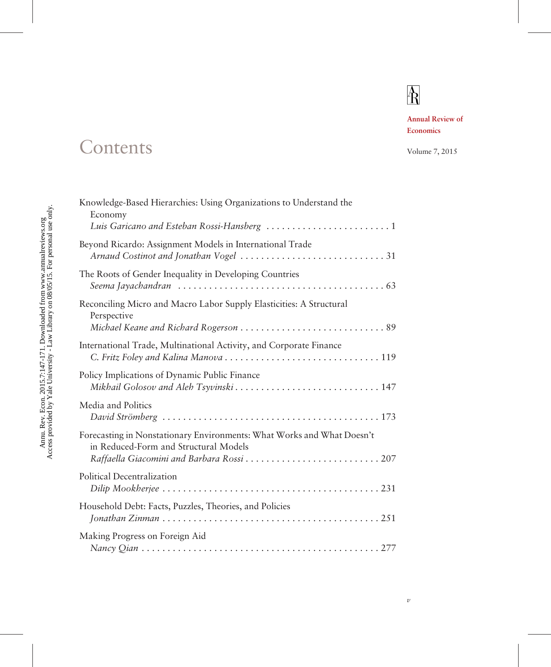Annual Review of Economics

# Annu. Rev. Econ. 2015.7:147-171. Downloaded from www.annualreviews.org<br>Access provided by Yale University - Law Library on 08/05/15. For personal use only. Access provided by Yale University - Law Library on 08/05/15. For personal use only.Annu. Rev. Econ. 2015.7:147-171. Downloaded from www.annualreviews.org

# Contents Volume 7, 2015

| Knowledge-Based Hierarchies: Using Organizations to Understand the<br>Economy<br>Luis Garicano and Esteban Rossi-Hansberg 1                                  |
|--------------------------------------------------------------------------------------------------------------------------------------------------------------|
| Beyond Ricardo: Assignment Models in International Trade                                                                                                     |
| The Roots of Gender Inequality in Developing Countries                                                                                                       |
| Reconciling Micro and Macro Labor Supply Elasticities: A Structural<br>Perspective                                                                           |
| International Trade, Multinational Activity, and Corporate Finance                                                                                           |
| Policy Implications of Dynamic Public Finance                                                                                                                |
| Media and Politics                                                                                                                                           |
| Forecasting in Nonstationary Environments: What Works and What Doesn't<br>in Reduced-Form and Structural Models<br>Raffaella Giacomini and Barbara Rossi 207 |
| Political Decentralization                                                                                                                                   |
| Household Debt: Facts, Puzzles, Theories, and Policies                                                                                                       |
| Making Progress on Foreign Aid                                                                                                                               |